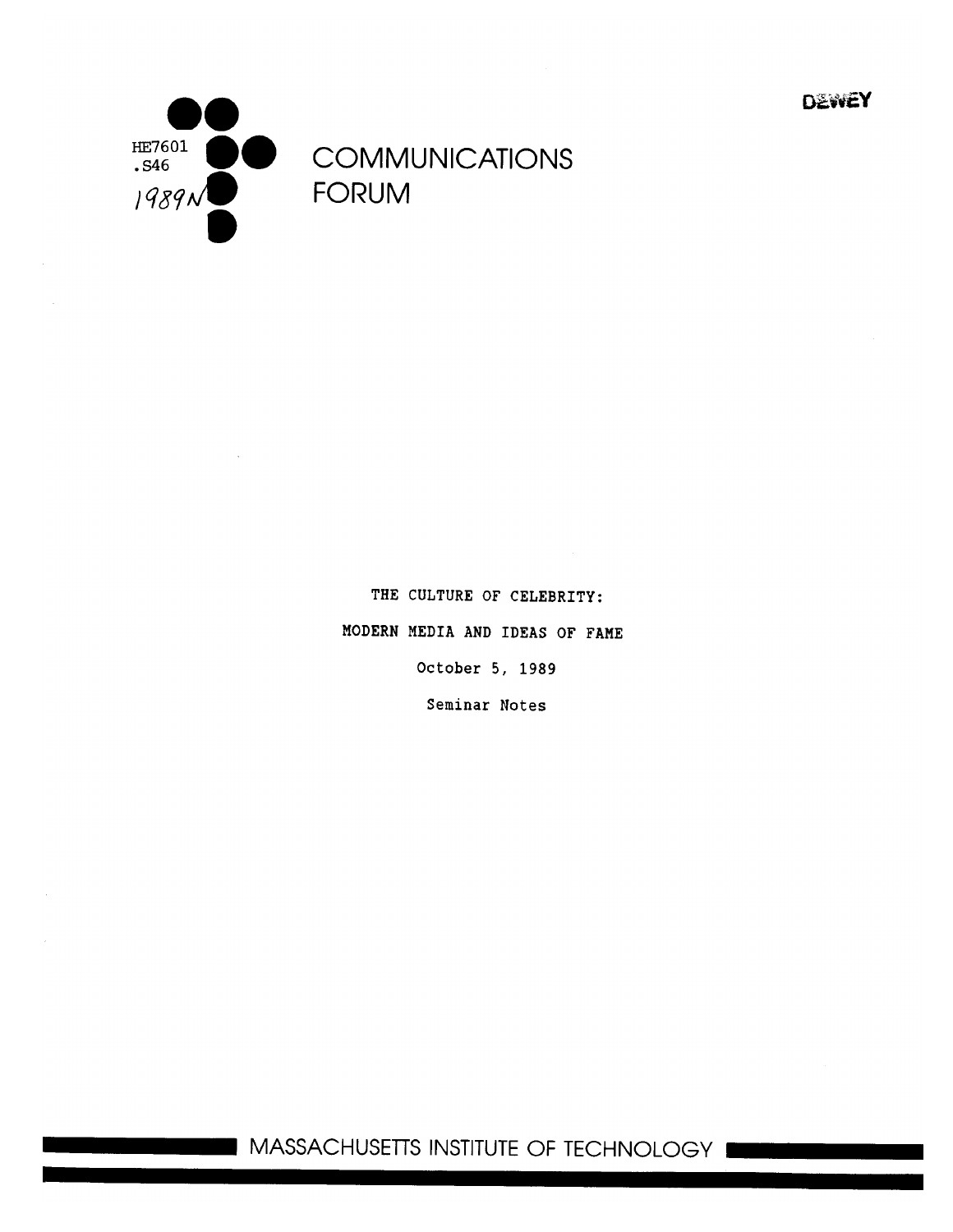**DEWEY** 



THE CULTURE OF CELEBRITY: MODERN MEDIA **AND** IDEAS OF **FAME** October 5, 1989 Seminar Notes

**1111** MASSACHUSETTS INSTITUTE OF TECHNOLOGY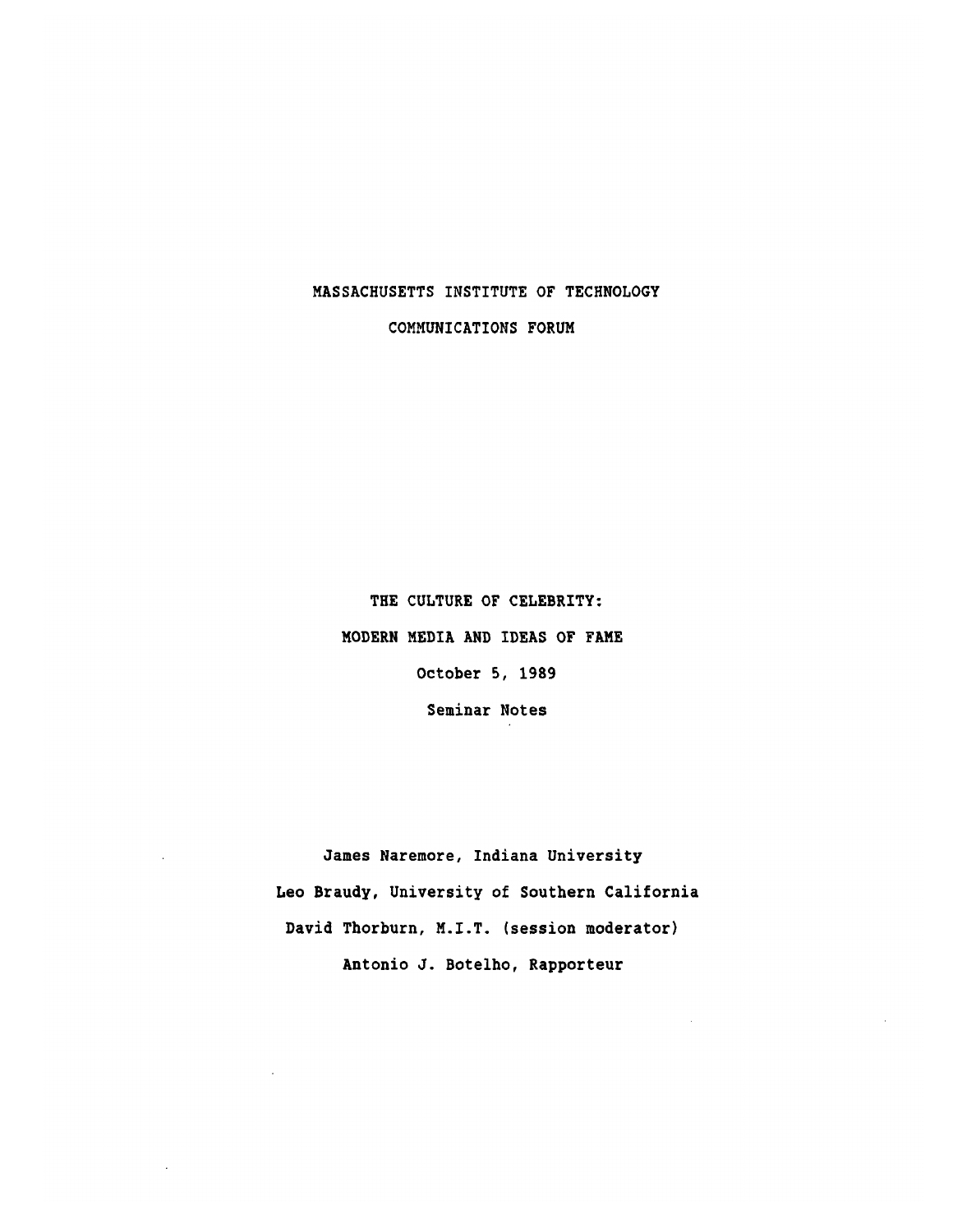# **MASSACHUSETTS** INSTITUTE OF **TECHNOLOGY**

COMMUNICATIONS FORUM

THE **CULTURE** OF CELEBRITY: MODERN MEDIA **AND** IDEAS OF **FAME** October **5, 1989** Seminar Notes

James Naremore, Indiana University Leo Braudy, University of Southern California David Thorburn, M.I.T. (session moderator) Antonio **J.** Botelho, Rapporteur

 $\cdot$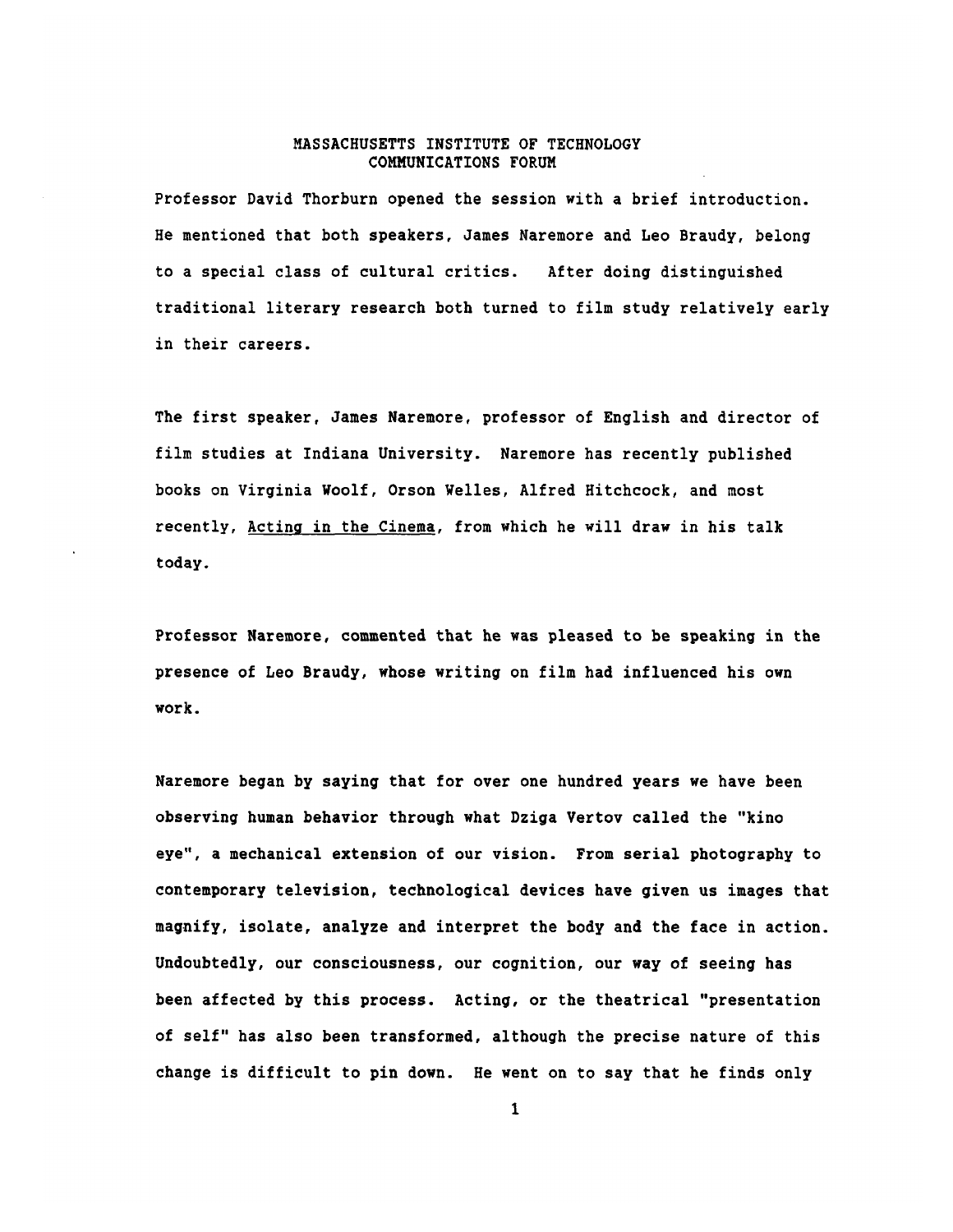Professor David Thorburn opened the session with a brief introduction. He mentioned that both speakers, James Naremore and Leo Braudy, belong to a special class of cultural critics. After doing distinguished traditional literary research both turned to film study relatively early in their careers.

The first speaker, James Naremore, professor of English and director of film studies at Indiana University. Naremore has recently published books on Virginia Woolf, Orson Welles, Alfred Hitchcock, and most recently, Acting in the Cinema, from which he will draw in his talk today.

Professor Naremore, commented that he was pleased to be speaking in the presence of Leo Braudy, whose writing on film had influenced his own work.

Naremore began **by** saying that for over one hundred years we have been observing human behavior through what Dziga Vertov called the "kino eye", a mechanical extension of our vision. From serial photography to contemporary television, technological devices have given us images that magnify, isolate, analyze and interpret the body and the face in action. Undoubtedly, our consciousness, our cognition, our way of seeing has been affected **by** this process. Acting, or the theatrical "presentation of self" has also been transformed, although the precise nature of this change is difficult to pin down. He went on to say that he finds only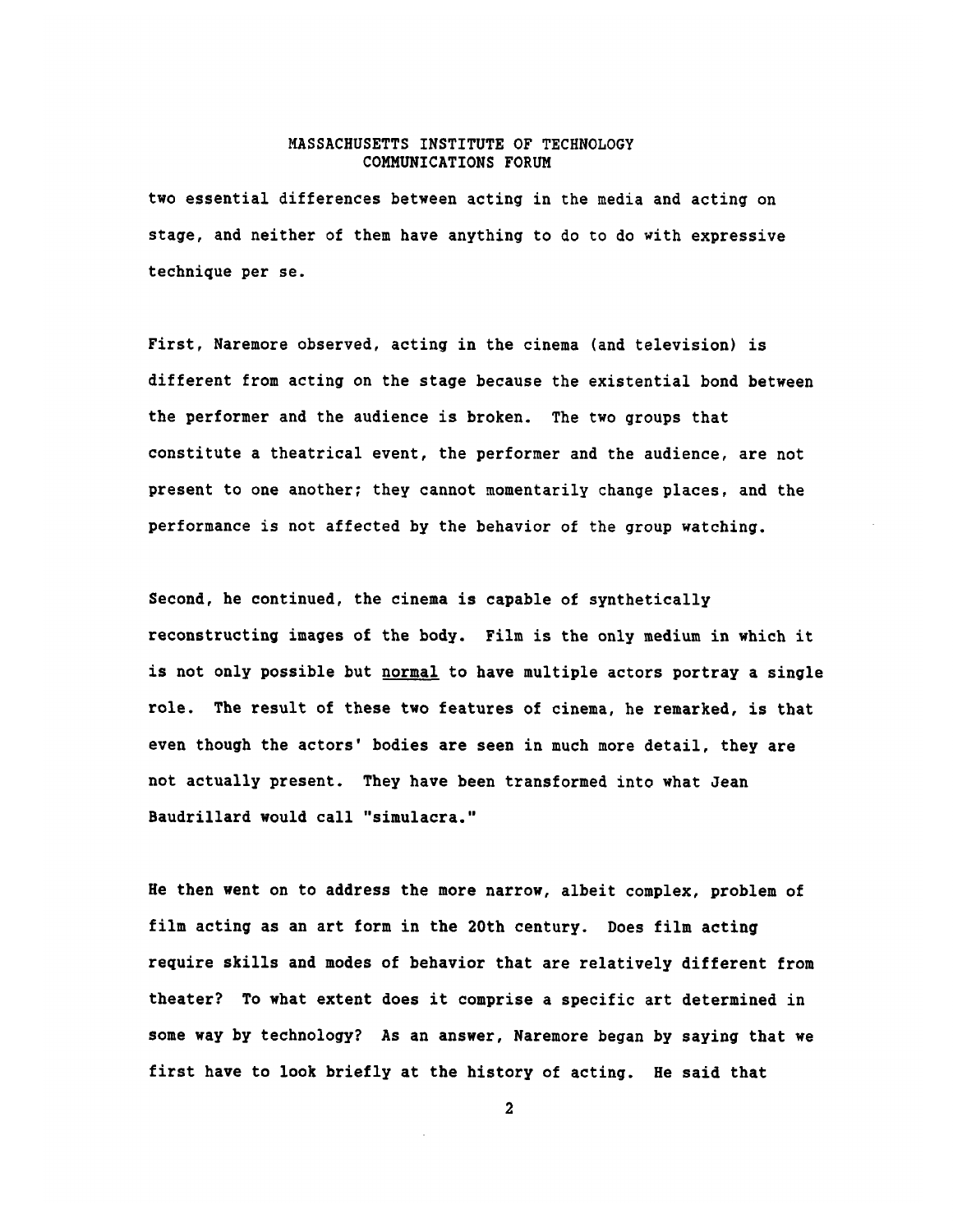two essential differences between acting in the media and acting on stage, and neither of them have anything to do to do with expressive technique per se.

First, Naremore observed, acting in the cinema (and television) is different from acting on the stage because the existential bond between the performer and the audience is broken. The two groups that constitute a theatrical event, the performer and the audience, are not present to one another; they cannot momentarily change places, and the performance is not affected **by** the behavior of the group watching.

Second, he continued, the cinema is capable of synthetically reconstructing images of the body. Film is the only medium in which it is not only possible but normal to have multiple actors portray a single role. The result of these two features of cinema, he remarked, is that even though the actors' bodies are seen in much more detail, they are not actually present. They have been transformed into what Jean Baudrillard would call "simulacra."

He then went on to address the more narrow, albeit complex, problem of film acting as an art form in the 20th century. Does film acting require skills and modes of behavior that are relatively different from theater? To what extent does it comprise a specific art determined in some way **by** technology? As an answer, Naremore began **by** saying that we first have to look briefly at the history of acting. He said that

 $\mathbf{2}$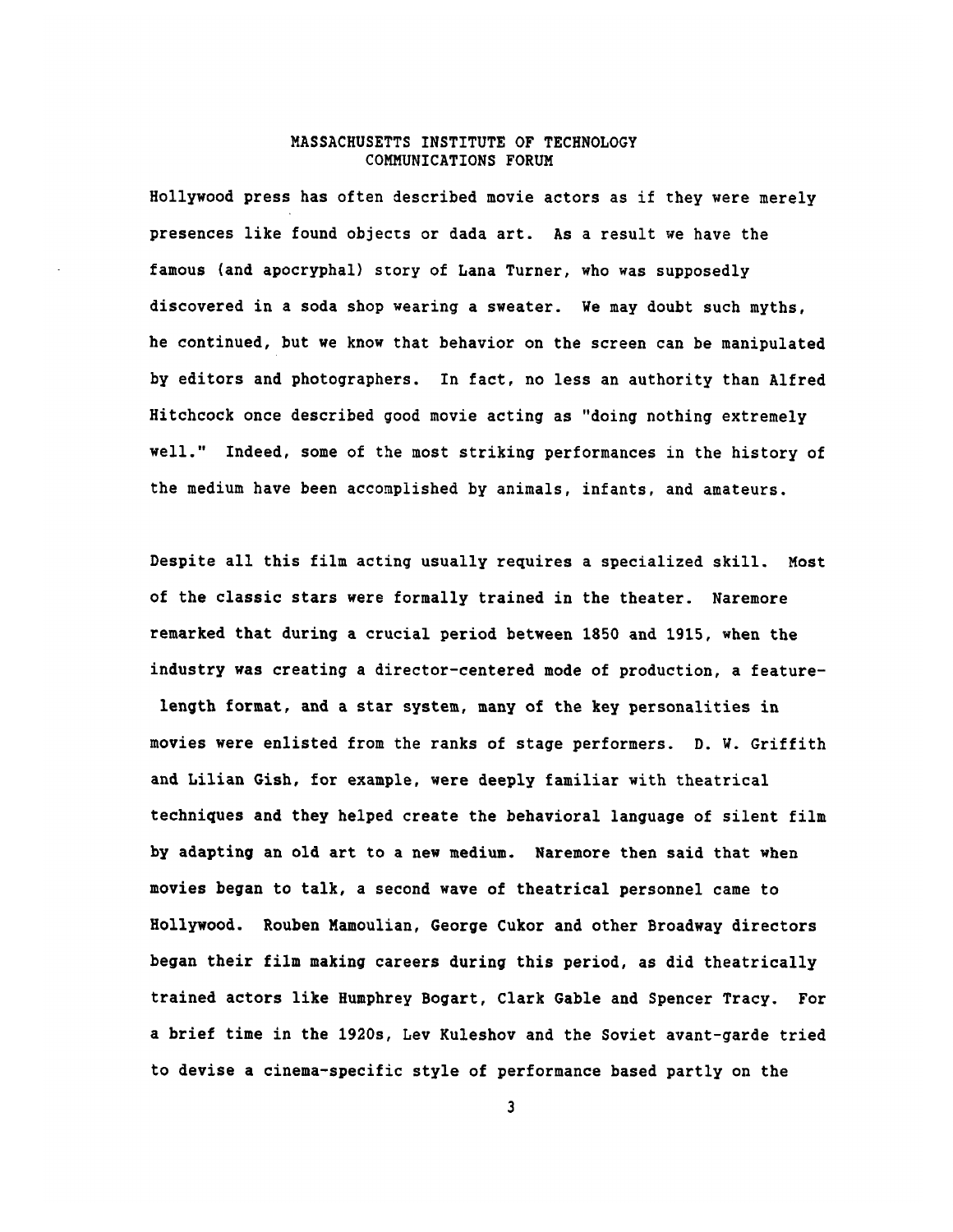Hollywood press has often described movie actors as if they were merely presences like found objects or dada art. As a result we have the famous (and apocryphal) story of Lana Turner, who was supposedly discovered in a soda shop wearing a sweater. We may doubt such myths, he continued, but we know that behavior on the screen can be manipulated **by** editors and photographers. In fact, no less an authority than Alfred Hitchcock once described good movie acting as "doing nothing extremely well." Indeed, some of the most striking performances in the history of the medium have been accomplished **by** animals, infants, and amateurs.

Despite all this film acting usually requires a specialized skill. Most of the classic stars were formally trained in the theater. Naremore remarked that during a crucial period between **1850** and **1915,** when the industry was creating a director-centered mode of production, a featurelength format, and a star system, many of the key personalities in movies were enlisted from the ranks of stage performers. **D.** W. Griffith and Lilian Gish, for example, were deeply familiar with theatrical techniques and they helped create the behavioral language of silent film **by** adapting an old art to a new medium. Naremore then said that when movies began to talk, a second wave of theatrical personnel came to Hollywood. Rouben Mamoulian, George Cukor and other Broadway directors began their film making careers during this period, as did theatrically trained actors like Humphrey Bogart, Clark Gable and Spencer Tracy. For a brief time in the 1920s, Lev Kuleshov and the Soviet avant-garde tried to devise a cinema-specific style of performance based partly on the

 $\overline{\mathbf{3}}$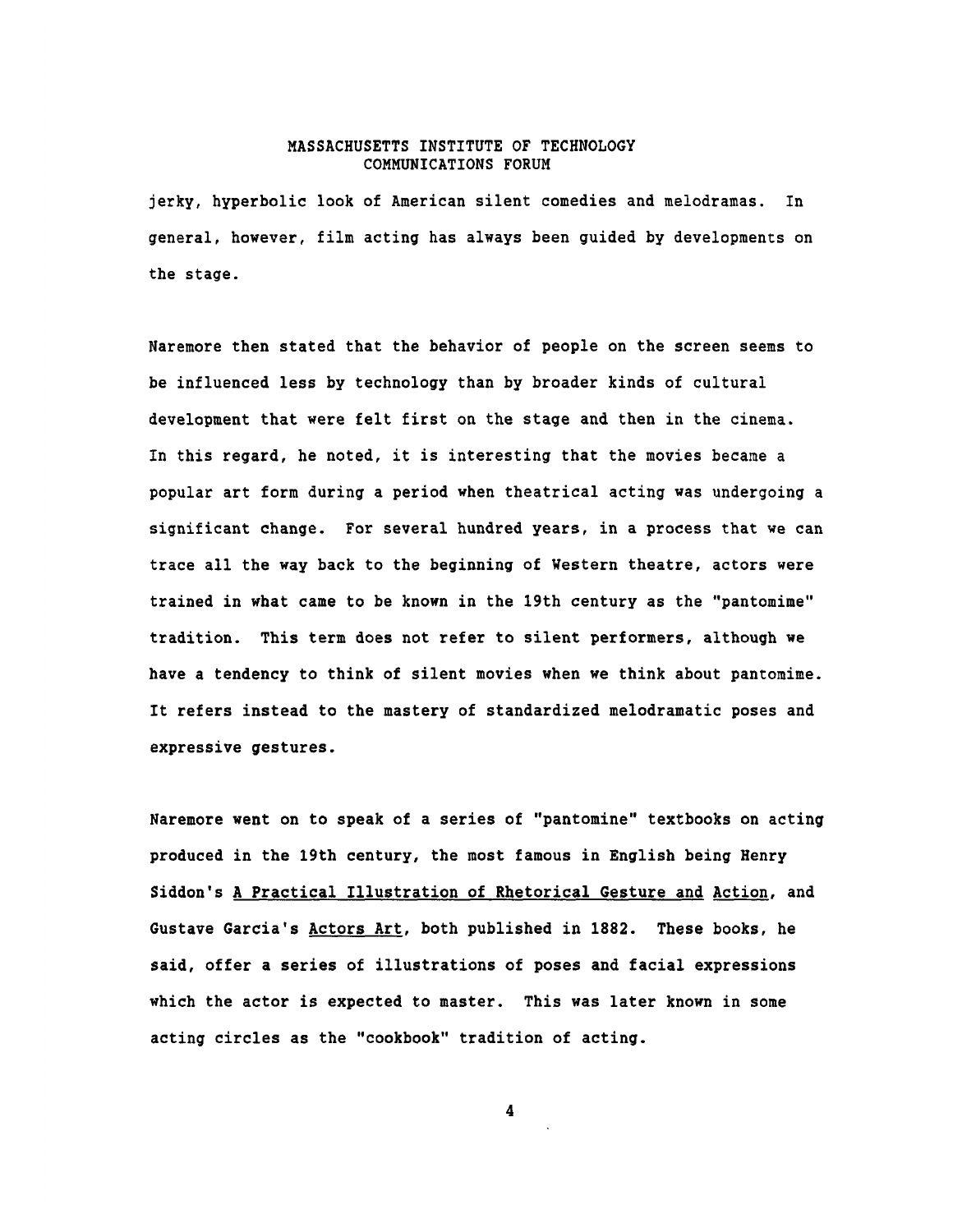jerky, hyperbolic look of American silent comedies and melodramas. In general, however, film acting has always been guided **by** developments on the stage.

Naremore then stated that the behavior of people on the screen seems to be influenced less **by** technology than **by** broader kinds of cultural development that were felt first on the stage and then in the cinema. In this regard, he noted, it is interesting that the movies became a popular art form during a period when theatrical acting was undergoing a significant change. For several hundred years, in a process that we can trace all the way back to the beginning of Western theatre, actors were trained in what came to be known in the 19th century as the "pantomime" tradition. This term does not refer to silent performers, although we have a tendency to think of silent movies when we think about pantomime. It refers instead to the mastery of standardized melodramatic poses and expressive gestures.

Naremore went on to speak of a series of "pantomine" textbooks on acting produced in the 19th century, the most famous in English being Henry Siddon's **A** Practical Illustration of Rhetorical Gesture and Action, and Gustave Garcia's Actors Art, both published in **1882.** These books, he said, offer a series of illustrations of poses and facial expressions which the actor is expected to master. This was later known in some acting circles as the "cookbook" tradition of acting.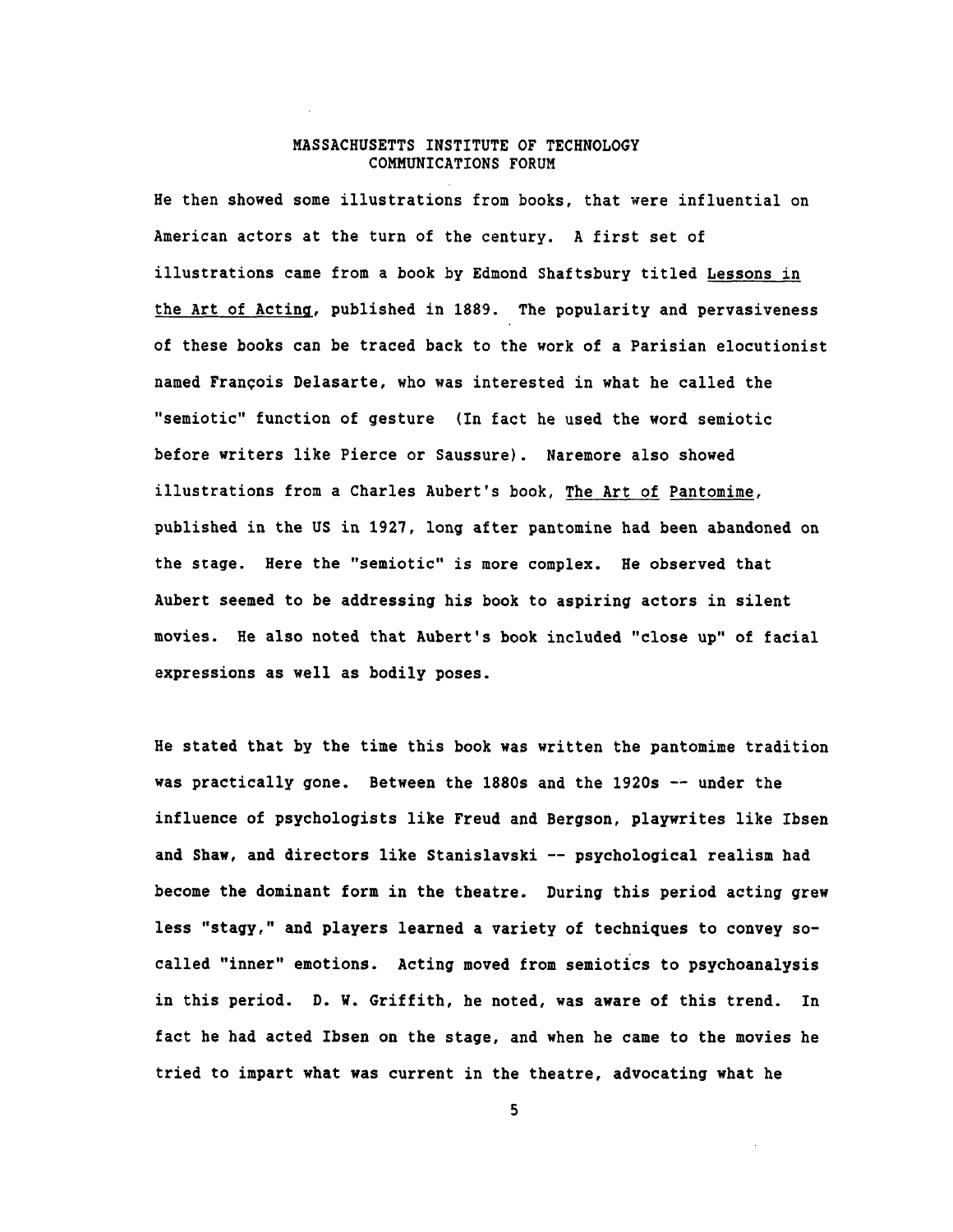He then showed some illustrations from books, that were influential on American actors at the turn of the century. **A** first set of illustrations came from a book **by** Edmond Shaftsbury titled Lessons in the Art of Acting, published in **1889.** The popularity and pervasiveness of these books can be traced back to the work of a Parisian elocutionist named Francois Delasarte, who was interested in what he called the "semiotic" function of gesture (In fact he used the word semiotic before writers like Pierce or Saussure). Naremore also showed illustrations from a Charles Aubert's book, The Art of Pantomime, published in the **US** in **1927,** long after pantomine had been abandoned on the stage. Here the "semiotic" is more complex. He observed that Aubert seemed to be addressing his book to aspiring actors in silent movies. He also noted that Aubert's book included "close up" of facial expressions as well as bodily poses.

He stated that **by** the time this book was written the pantomime tradition was practically gone. Between the 1880s and the 1920s **--** under the influence of psychologists like Freud and Bergson, playwrites like Ibsen and Shaw, and directors like Stanislavski **--** psychological realism had become the dominant form in the theatre. During this period acting grew less "stagy," and players learned a variety of techniques to convey socalled "inner" emotions. Acting moved from semiotics to psychoanalysis in this period. **D.** W. Griffith, he noted, was aware of this trend. In fact he had acted Ibsen on the stage, and when he came to the movies he tried to impart what was current in the theatre, advocating what he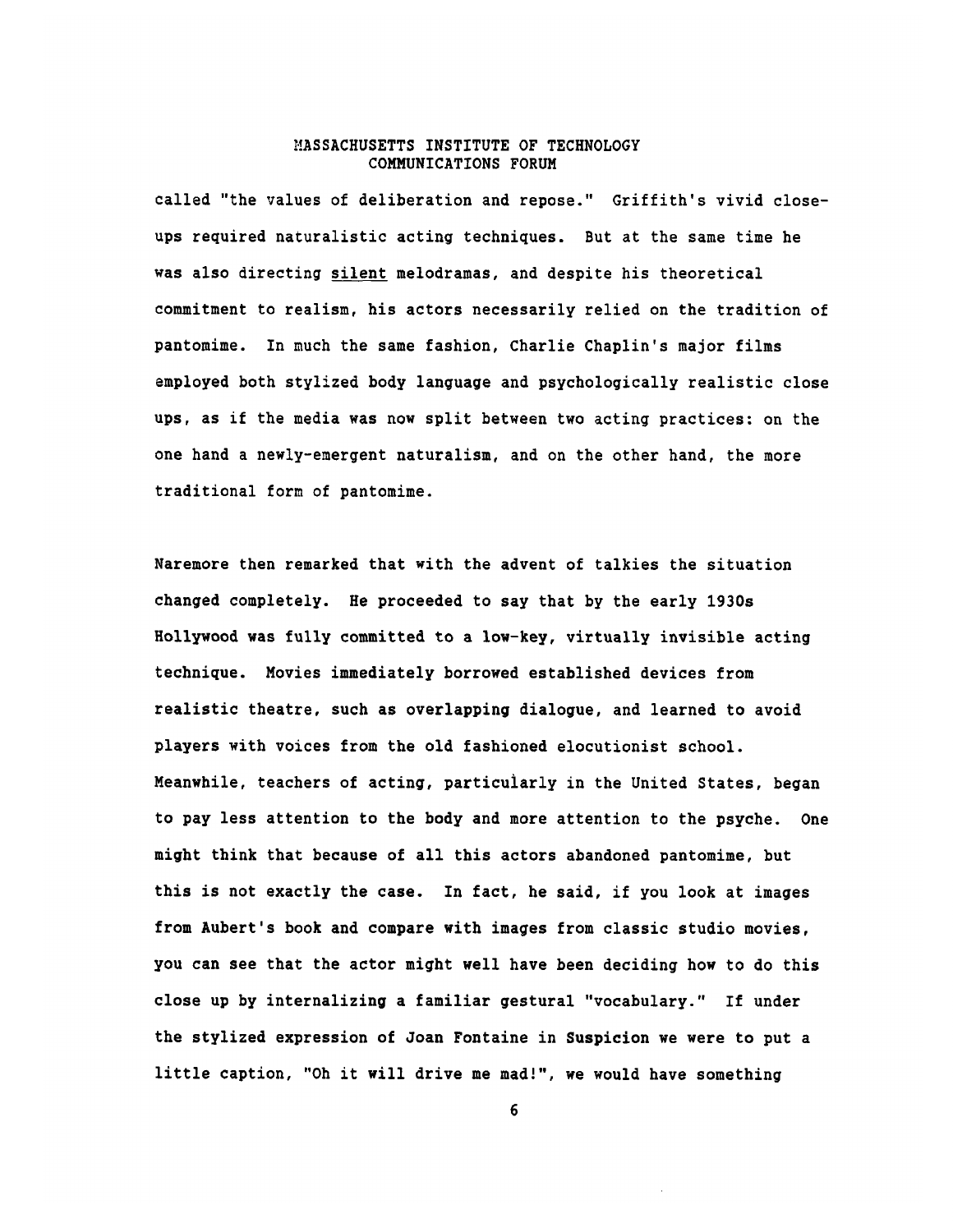called "the values of deliberation and repose." Griffith's vivid closeups required naturalistic acting techniques. But at the same time he was also directing silent melodramas, and despite his theoretical commitment to realism, his actors necessarily relied on the tradition of pantomime. In much the same fashion, Charlie Chaplin's major films employed both stylized body language and psychologically realistic close ups, as if the media was now split between two acting practices: on the one hand a newly-emergent naturalism, and on the other hand, the more traditional form of pantomime.

Naremore then remarked that with the advent of talkies the situation changed completely. He proceeded to say that **by** the early 1930s Hollywood was fully committed to a low-key, virtually invisible acting technique. Movies immediately borrowed established devices from realistic theatre, such as overlapping dialogue, and learned to avoid players with voices from the old fashioned elocutionist school. Meanwhile, teachers of acting, particularly in the United States, began to pay less attention to the body and more attention to the psyche. One might think that because of all this actors abandoned pantomime, but this is not exactly the case. In fact, he said, if you look at images from Aubert's book and compare with images from classic studio movies, you can see that the actor might well have been deciding how to do this close up **by** internalizing a familiar gestural "vocabulary." If under the stylized expression of Joan Fontaine in Suspicion we were to put a little caption, "Oh it will drive me mad!", we would have something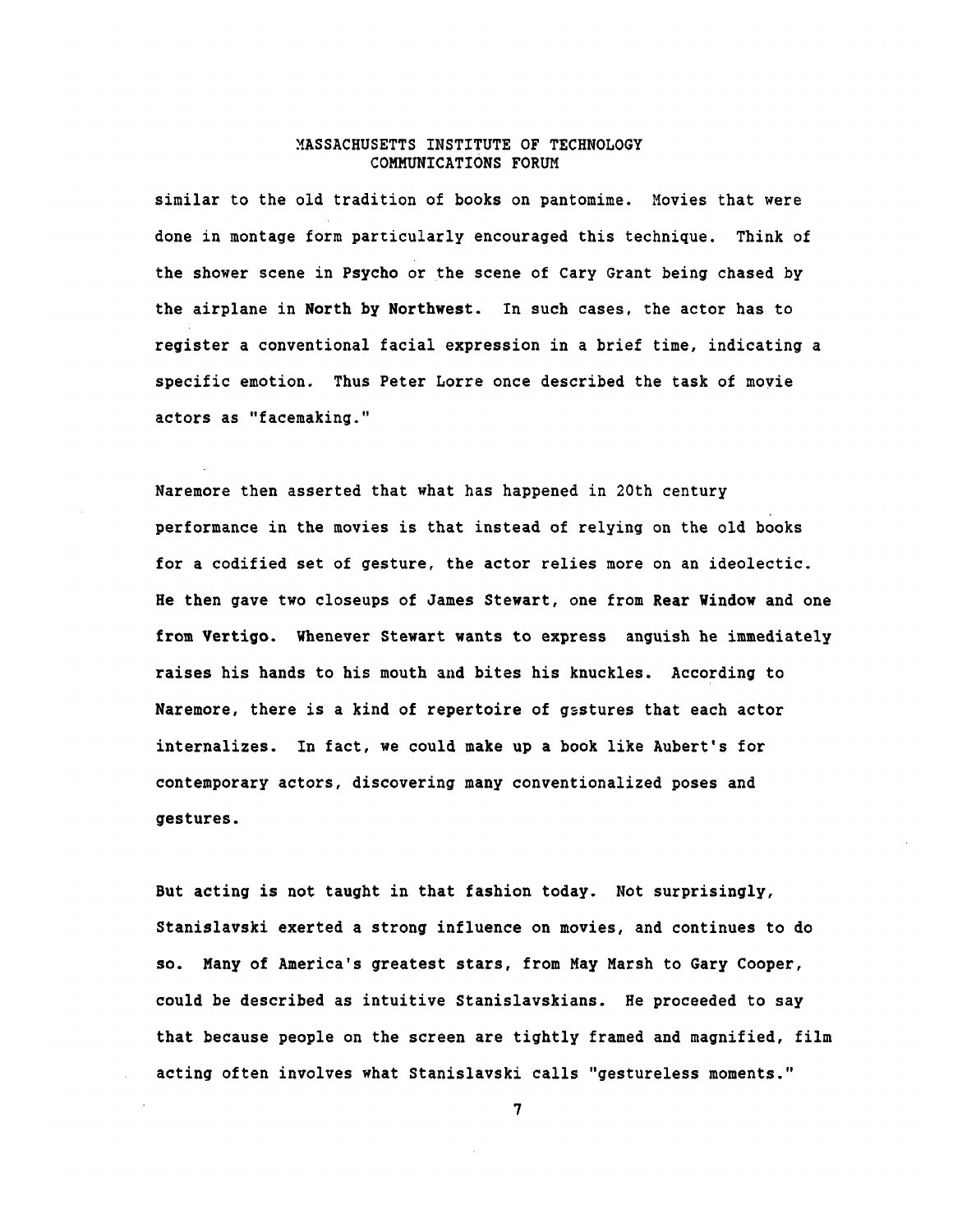similar to the old tradition of books on pantomime. Movies that were done in montage form particularly encouraged this technique. Think of the shower scene in Psycho or the scene of Cary Grant being chased **by** the airplane in North **by** Northwest. In such cases, the actor has to register a conventional facial expression in a brief time, indicating a specific emotion. Thus Peter Lorre once described the task of movie actors as "facemaking."

Naremore then asserted that what has happened in 20th century performance in the movies is that instead of relying on the old books for a codified set of gesture, the actor relies more on an ideolectic. He then gave two closeups of James Stewart, one from Rear Window and one from Vertigo. Whenever Stewart wants to express anguish he immediately raises his hands to his mouth and bites his knuckles. According to Naremore, there is a kind of repertoire of gsstures that each actor internalizes. In fact, we could make up a book like Aubert's for contemporary actors, discovering many conventionalized poses and gestures.

But acting is not taught in that fashion today. Not surprisingly, Stanislavski exerted a strong influence on movies, and continues to do so. Many of America's greatest stars, from May Marsh to Gary Cooper, could be described as intuitive Stanislavskians. He proceeded to say that because people on the screen are tightly framed and magnified, film acting often involves what Stanislavski calls "gestureless moments."

 $\overline{7}$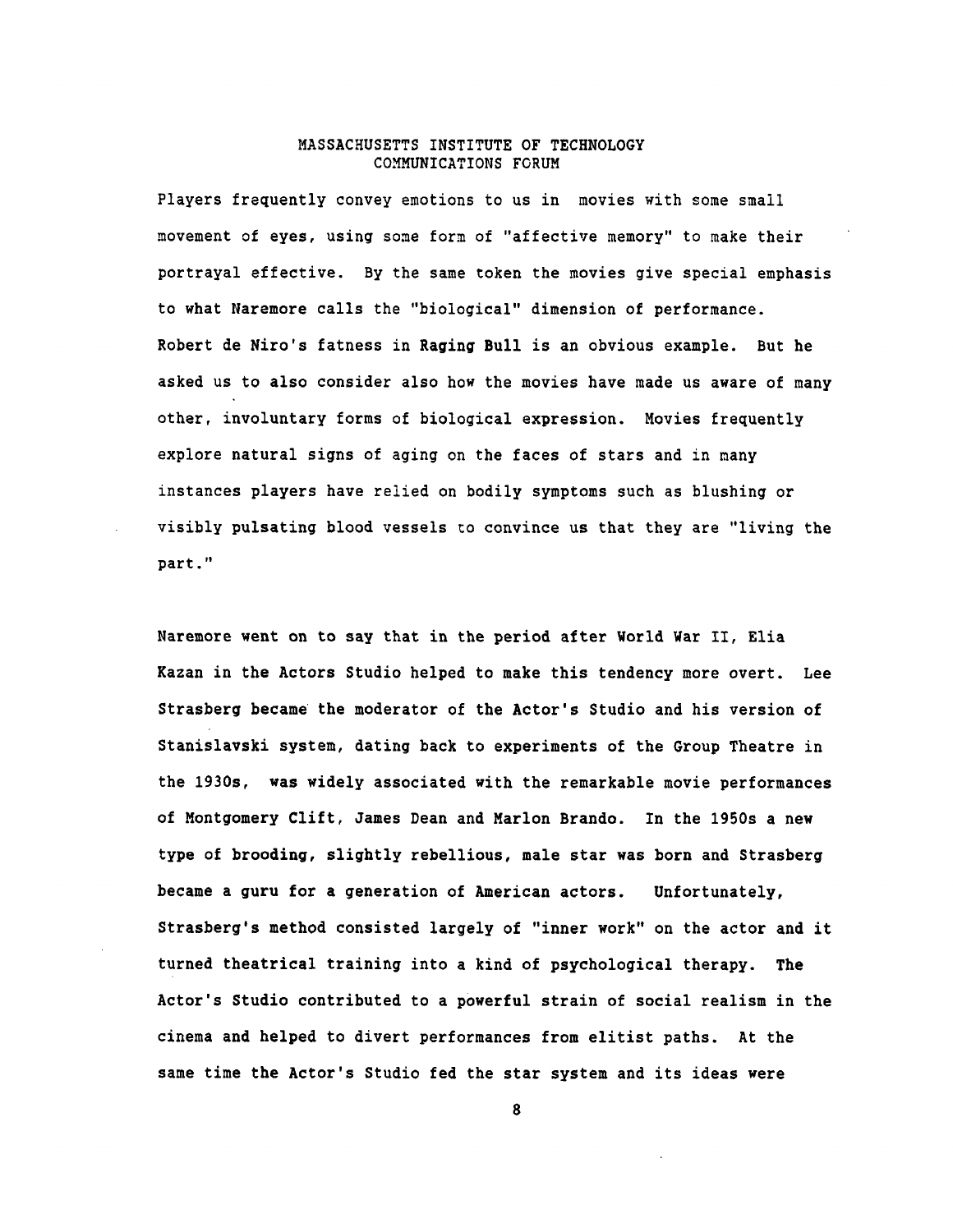Players frequently convey emotions to us in movies with some small movement of eyes, using some form of "affective memory" to make their portrayal effective. By the same token the movies give special emphasis to what Naremore calls the "biological" dimension of performance. Robert de Niro's fatness in Raging Bull is an obvious example. But he asked us to also consider also how the movies have made us aware of many other, involuntary forms of biological expression. Movies frequently explore natural signs of aging on the faces of stars and in many instances players have relied on bodily symptoms such as blushing or visibly pulsating blood vessels to convince us that they are "living the part."

Naremore went on to say that in the period after World War II, Elia Kazan in the Actors Studio helped to make this tendency more overt. Lee Strasberg became the moderator of the Actor's Studio and his version of Stanislavski system, dating back to experiments of the Group Theatre in the 1930s, was widely associated with the remarkable movie performances of Montgomery Clift, James Dean and Marlon Brando. In the 1950s a new type of brooding, slightly rebellious, male star was born and Strasberg became a guru for a generation of American actors. Unfortunately, Strasberg's method consisted largely of "inner work" on the actor and it turned theatrical training into a kind of psychological therapy. The Actor's Studio contributed to a powerful strain of social realism in the cinema and helped to divert performances from elitist paths. At the same time the Actor's Studio fed the star system and its ideas were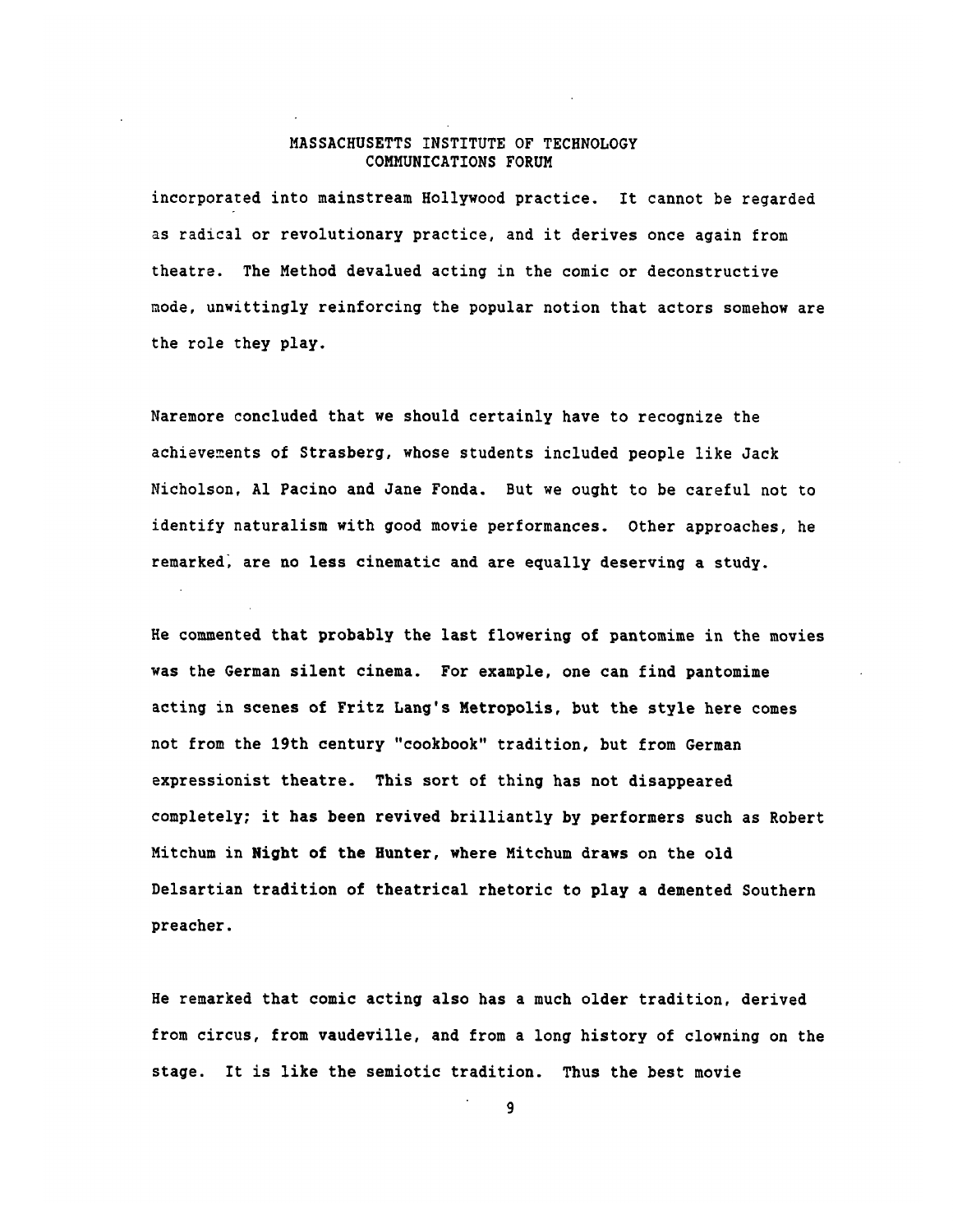incorporated into mainstream Hollywood practice. It cannot be regarded as radical or revolutionary practice, and it derives once again from theatre. The Method devalued acting in the comic or deconstructive mode, unwittingly reinforcing the popular notion that actors somehow are the role they play.

Naremore concluded that we should certainly have to recognize the achievements of Strasberg, whose students included people like Jack Nicholson, **Al** Pacino and Jane Fonda. But we ought to be careful not to identify naturalism with good movie performances. Other approaches, he remarked, are no less cinematic and are equally deserving a study.

He commented that probably the last flowering of pantomime in the movies was the German silent cinema. For example, one can find pantomime acting in scenes of Fritz Lang's Metropolis, but the style here comes not from the 19th century "cookbook" tradition, but from German expressionist theatre. This sort of thing has not disappeared completely; it has been revived brilliantly **by** performers such as Robert Mitchum in Night of the Hunter, where Mitchum draws on the old Delsartian tradition of theatrical rhetoric to play a demented Southern preacher.

He remarked that comic acting also has a much older tradition, derived from circus, from vaudeville, and from a long history of clowning on the stage. It is like the semiotic tradition. Thus the best movie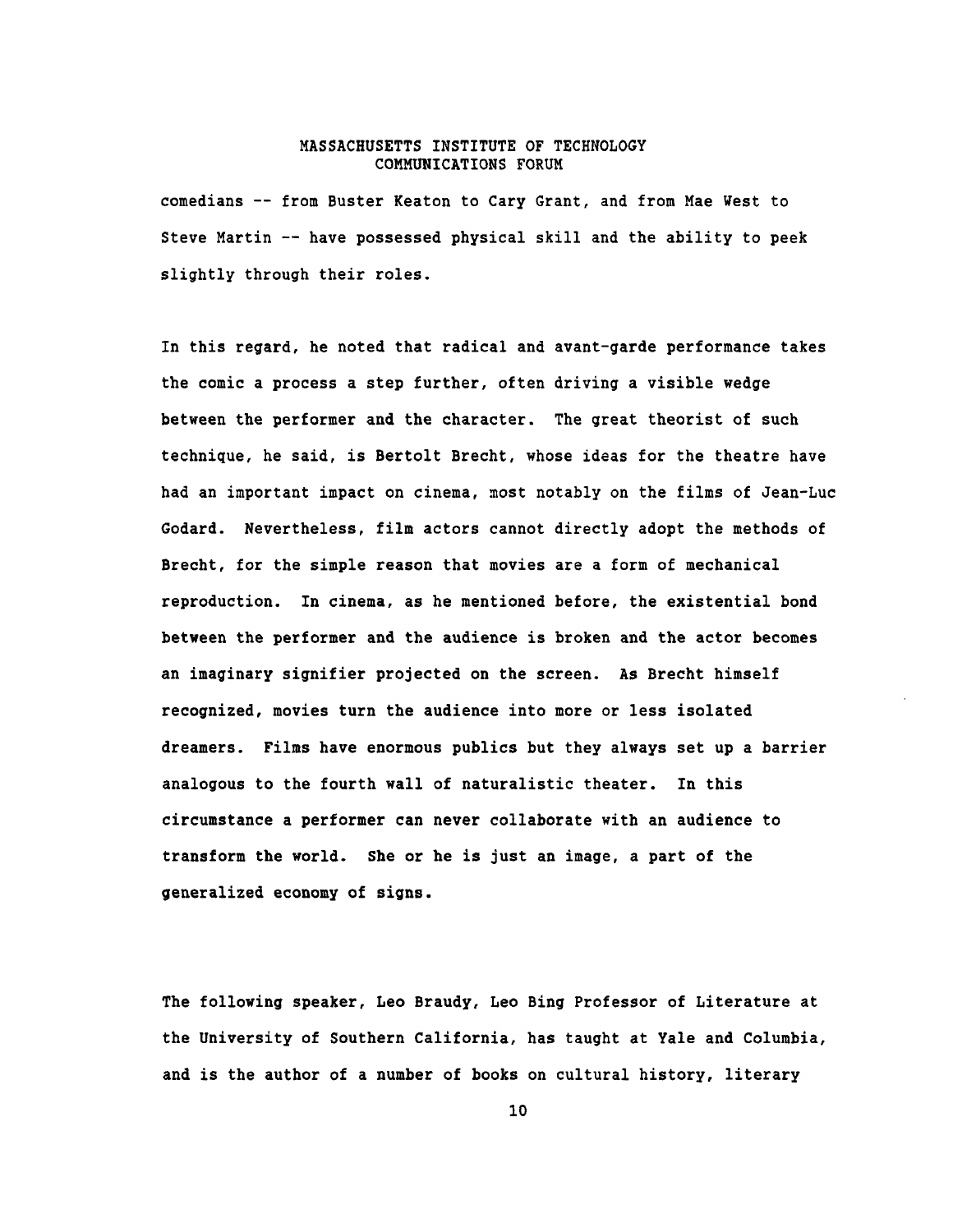comedians **--** from Buster Keaton to Cary Grant, and from Mae West to Steve Martin **--** have possessed physical skill and the ability to peek slightly through their roles.

In this regard, he noted that radical and avant-garde performance takes the comic a process a step further, often driving a visible wedge between the performer and the character. The great theorist of such technique, he said, is Bertolt Brecht, whose ideas for the theatre have had an important impact on cinema, most notably on the films of Jean-Luc Godard. Nevertheless, film actors cannot directly adopt the methods of Brecht, for the simple reason that movies are a form of mechanical reproduction. In cinema, as he mentioned before, the existential bond between the performer and the audience is broken and the actor becomes an imaginary signifier projected on the screen. As Brecht himself recognized, movies turn the audience into more or less isolated dreamers. Films have enormous publics but they always set up a barrier analogous to the fourth wall of naturalistic theater. In this circumstance a performer can never collaborate with an audience to transform the world. She or he is just an image, a part of the generalized economy of signs.

The following speaker, Leo Braudy, Leo Bing Professor of Literature at the University of Southern California, has taught at Yale and Columbia, and is the author of a number of books on cultural history, literary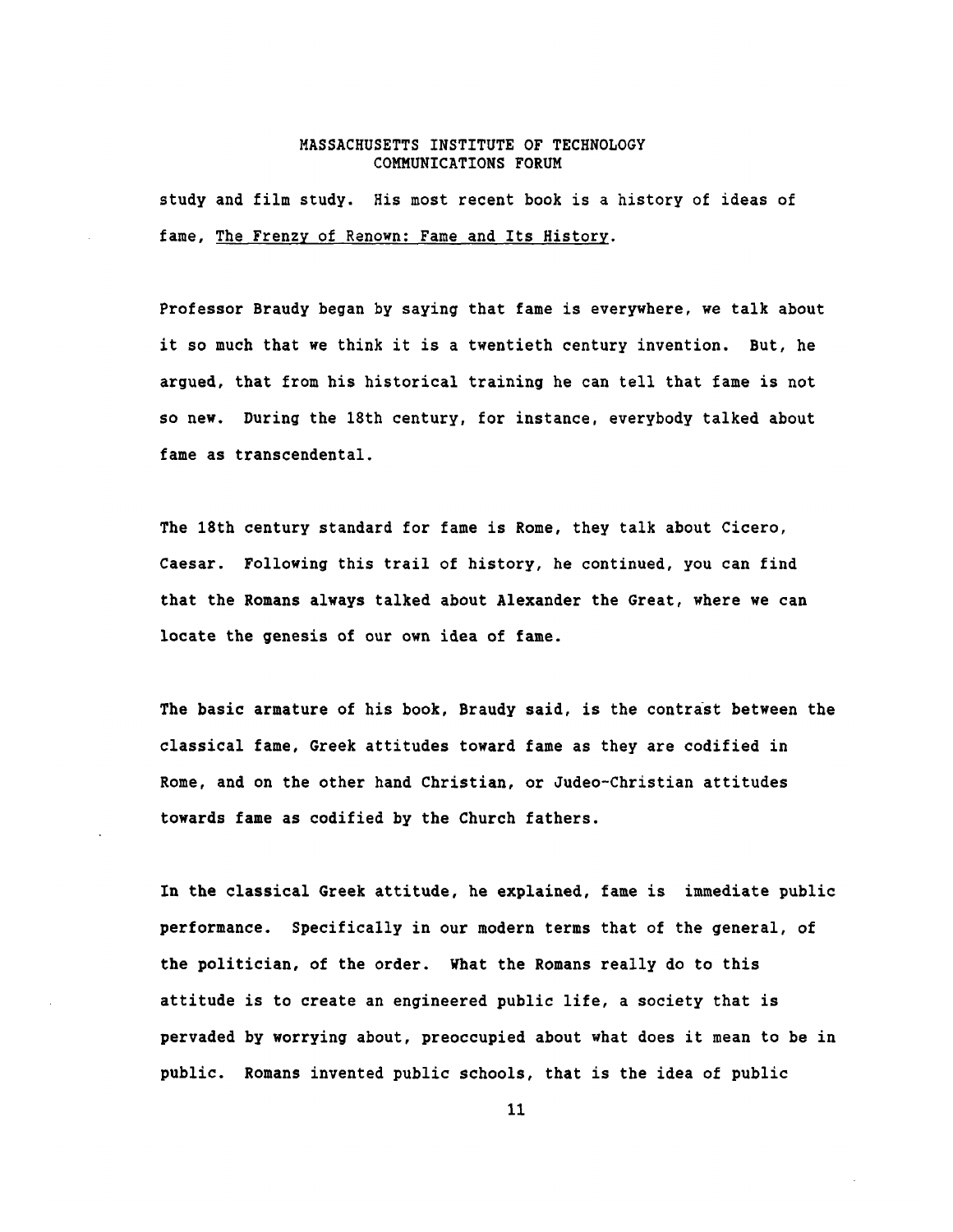study and film study. His most recent book is a history of ideas of fame, The Frenzy of Renown: Fame and Its History.

Professor Braudy began **by** saying that fame is everywhere, we talk about it so much that we think it is a twentieth century invention. But, he argued, that from his historical training he can tell that fame is not so new. During the 18th century, for instance, everybody talked about fame as transcendental.

The 18th century standard for fame is Rome, they talk about Cicero, Caesar. Following this trail of history, he continued, you can find that the Romans always talked about Alexander the Great, where we can locate the genesis of our own idea of fame.

The basic armature of his book, Braudy said, is the contrast between the classical fame, Greek attitudes toward fame as they are codified in Rome, and on the other hand Christian, or Judeo-Christian attitudes towards fame as codified **by** the Church fathers.

In the classical Greek attitude, he explained, fame is immediate public performance. Specifically in our modern terms that of the general, of the politician, of the order. What the Romans really do to this attitude is to create an engineered public life, a society that is pervaded **by** worrying about, preoccupied about what does it mean to be in public. Romans invented public schools, that is the idea of public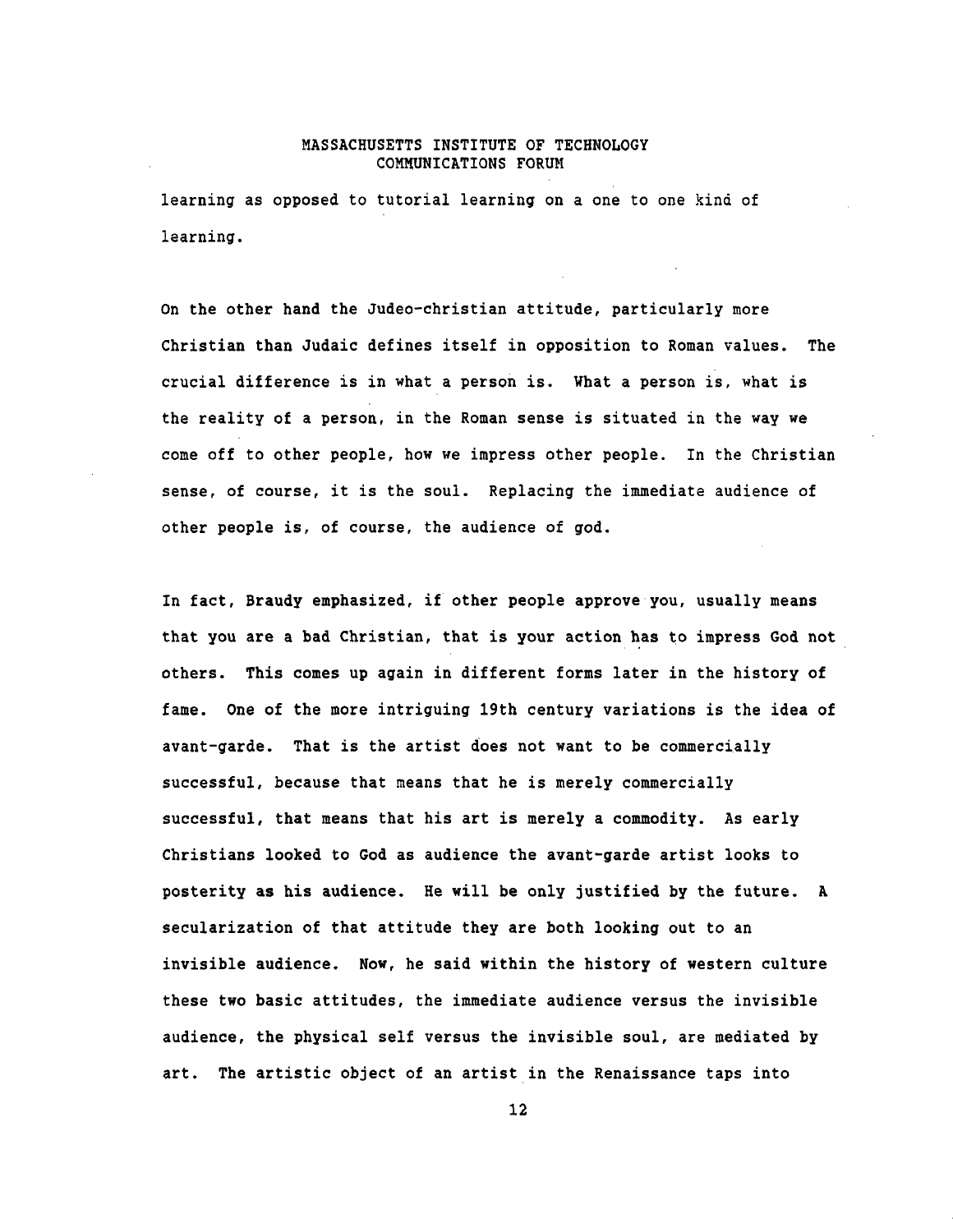learning as opposed to tutorial learning on a one to one kind of learning.

On the other hand the Judeo-christian attitude, particularly more Christian than Judaic defines itself in opposition to Roman values. The crucial difference is in what a person is. What a person is, what is the reality of a person, in the Roman sense is situated in the way we come off to other people, how we impress other people. In the Christian sense, of course, it is the soul. Replacing the immediate audience of other people is, of course, the audience of god.

In fact, Braudy emphasized, if other people approve you, usually means that you are a bad Christian, that is your action has to impress God not others. This comes up again in different forms later in the history of fame. One of the more intriguing 19th century variations is the idea of avant-garde. That is the artist does not want to be commercially successful, because that means that he is merely commercially successful, that means that his art is merely a commodity. As early Christians looked to God as audience the avant-garde artist looks to posterity as his audience. He will be only justified **by** the future. A secularization of that attitude they are both looking out to an invisible audience. Now, he said within the history of western culture these two basic attitudes, the immediate audience versus the invisible audience, the physical self versus the invisible soul, are mediated **by** art. The artistic object of an artist in the Renaissance taps into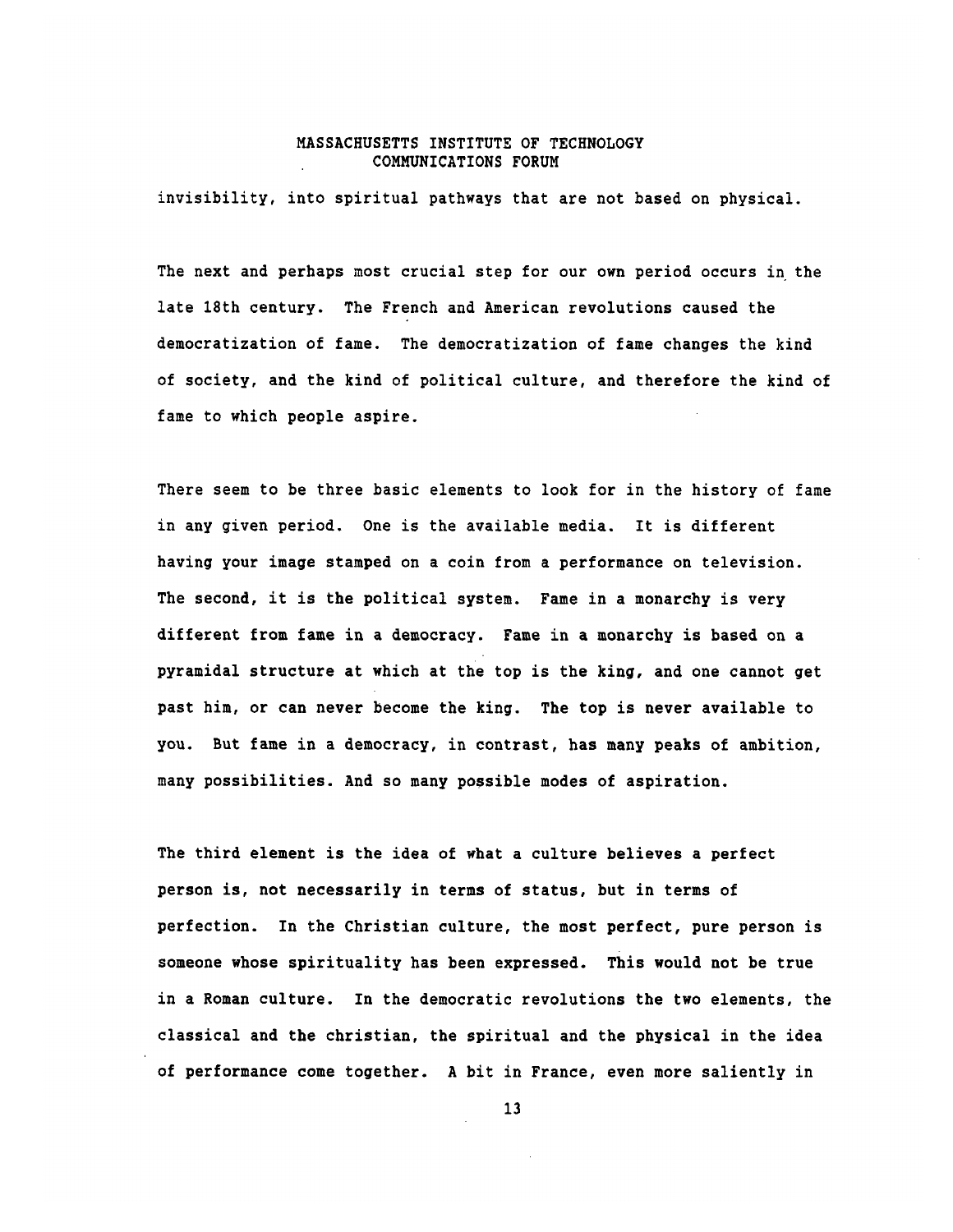invisibility, into spiritual pathways that are not based on physical.

The next and perhaps most crucial step for our own period occurs in the late 18th century. The French and American revolutions caused the democratization of fame. The democratization of fame changes the kind of society, and the kind of political culture, and therefore the kind of fame to which people aspire.

There seem to be three basic elements to look for in the history of fame in any given period. One is the available media. It is different having your image stamped on a coin from a performance on television. The second, it is the political system. Fame in a monarchy is very different from fame in a democracy. Fame in a monarchy is based on a pyramidal structure at which at the top is the king, and one cannot get past him, or can never become the king. The top is never available to you. But fame in a democracy, in contrast, has many peaks of ambition, many possibilities. And so many possible modes of aspiration.

The third element is the idea of what a culture believes a perfect person is, not necessarily in terms of status, but in terms of perfection. In the Christian culture, the most perfect, pure person is someone whose spirituality has been expressed. This would not be true in a Roman culture. In the democratic revolutions the two elements, the classical and the christian, the spiritual and the physical in the idea of performance come together. **A** bit in France, even more saliently in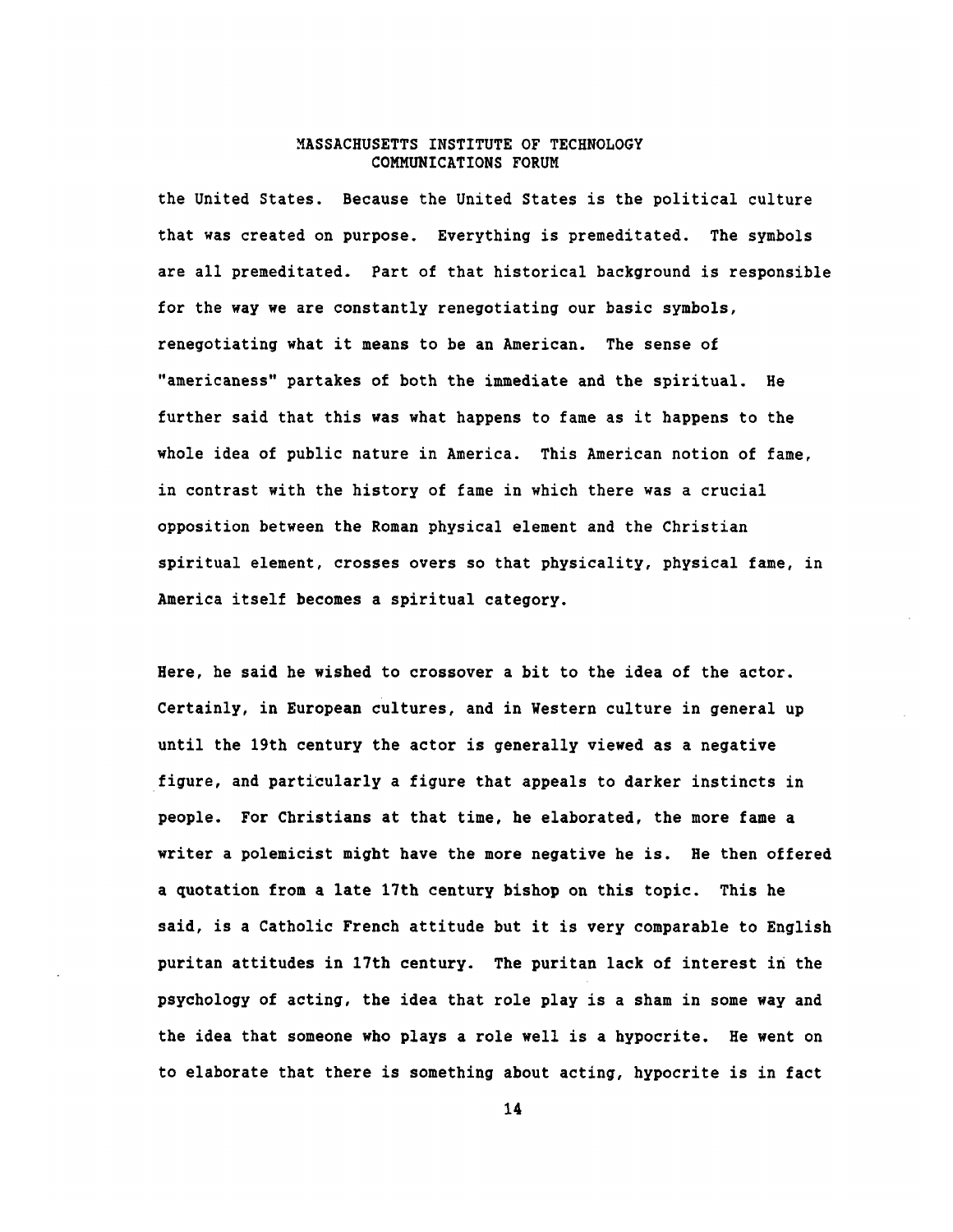the United States. Because the United States is the political culture that was created on purpose. Everything is premeditated. The symbols are all premeditated. Part of that historical background is responsible for the way we are constantly renegotiating our basic symbols, renegotiating what it means to be an American. The sense of "americaness" partakes of both the immediate and the spiritual. He further said that this was what happens to fame as it happens to the whole idea of public nature in America. This American notion of fame, in contrast with the history of fame in which there was a crucial opposition between the Roman physical element and the Christian spiritual element, crosses overs so that physicality, physical fame, in America itself becomes a spiritual category.

Here, he said he wished to crossover a bit to the idea of the actor. Certainly, in European cultures, and in Western culture in general up until the 19th century the actor is generally viewed as a negative figure, and particularly a figure that appeals to darker instincts in people. For Christians at that time, he elaborated, the more fame a writer a polemicist might have the more negative he is. He then offered a quotation from a late 17th century bishop on this topic. This he said, is a Catholic French attitude but it is very comparable to English puritan attitudes in 17th century. The puritan lack of interest in the psychology of acting, the idea that role play is a sham in some way and the idea that someone who plays a role well is a hypocrite. He went on to elaborate that there is something about acting, hypocrite is in fact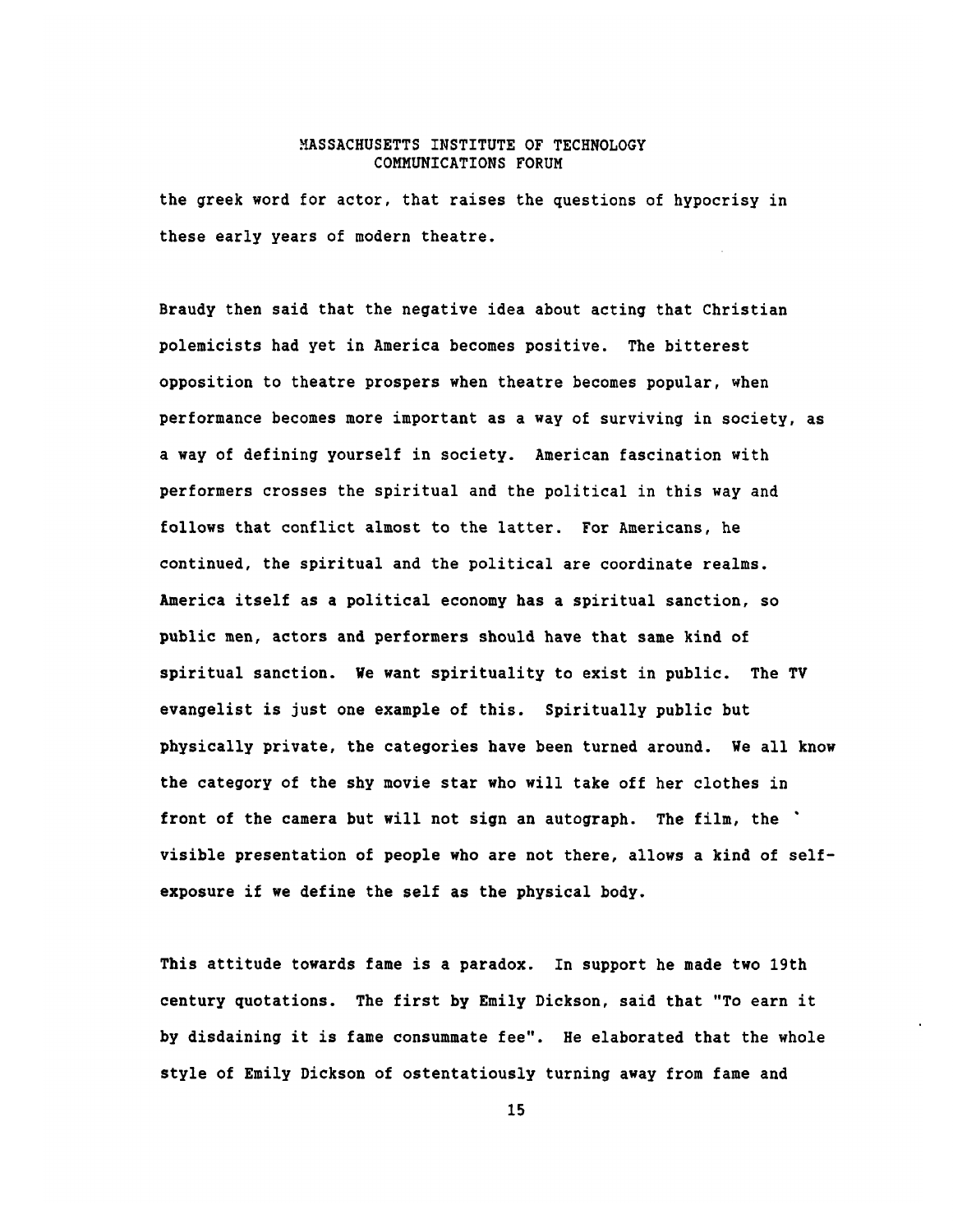the greek word for actor, that raises the questions of hypocrisy in these early years of modern theatre.

Braudy then said that the negative idea about acting that Christian polemicists had yet in America becomes positive. The bitterest opposition to theatre prospers when theatre becomes popular, when performance becomes more important as a way of surviving in society, as a way of defining yourself in society. American fascination with performers crosses the spiritual and the political in this way and follows that conflict almost to the latter. For Americans, he continued, the spiritual and the political are coordinate realms. America itself as a political economy has a spiritual sanction, so public men, actors and performers should have that same kind of spiritual sanction. We want spirituality to exist in public. The TV evangelist is just one example of this. Spiritually public but physically private, the categories have been turned around. We all know the category of the shy movie star who will take off her clothes in front of the camera but will not sign an autograph. The film, the visible presentation of people who are not there, allows a kind of selfexposure if we define the self as the physical body.

This attitude towards fame is a paradox. In support he made two 19th century quotations. The first **by** Emily Dickson, said that "To earn it **by** disdaining it is fame consummate fee". He elaborated that the whole style of Emily Dickson of ostentatiously turning away from fame and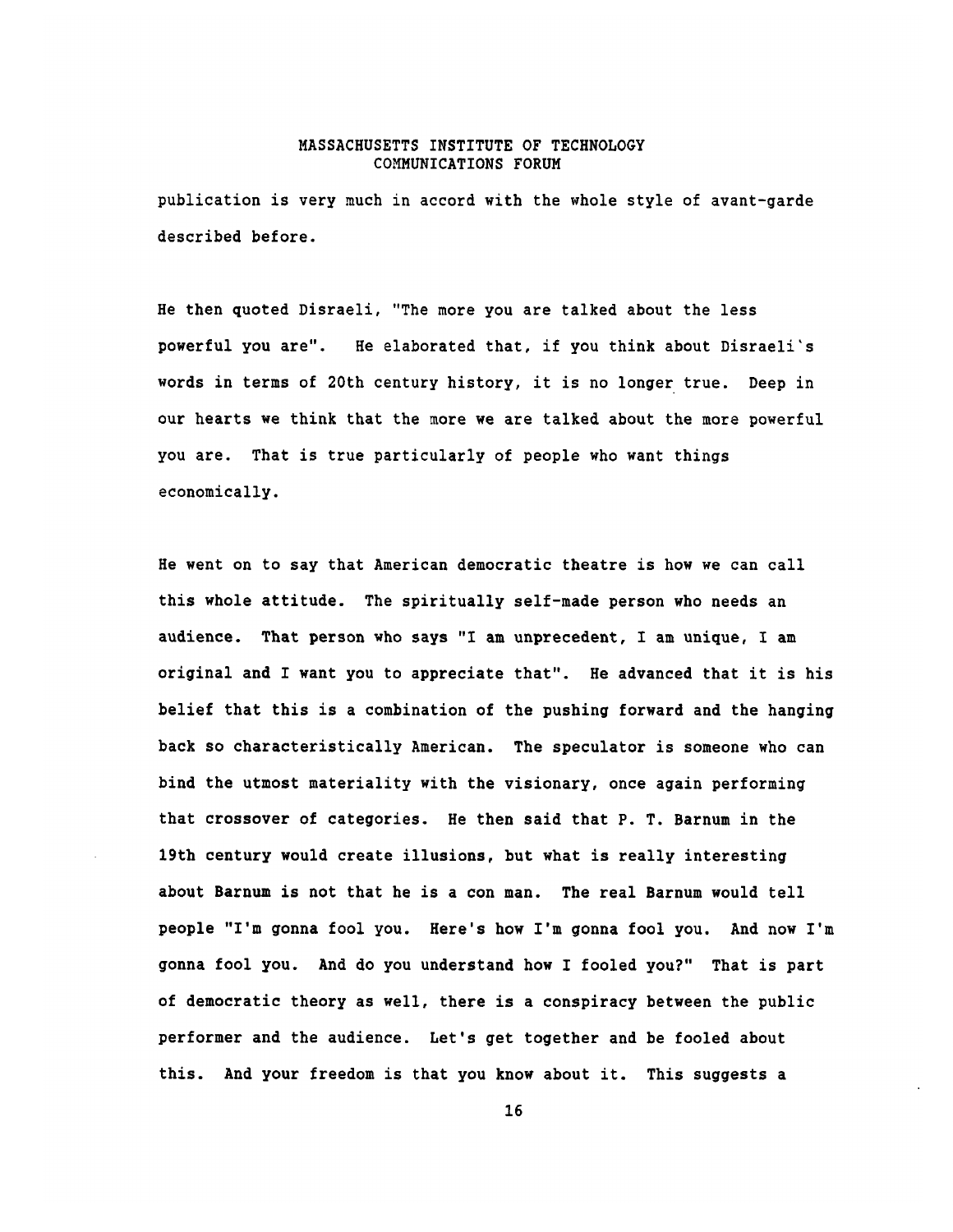publication is very much in accord with the whole style of avant-garde described before.

He then quoted Disraeli, "The more you are talked about the less powerful you are". He elaborated that, if you think about Disraeli's words in terms of 20th century history, it is no longer true. Deep in our hearts we think that the more we are talked about the more powerful you are. That is true particularly of people who want things economically.

He went on to say that American democratic theatre is how we can call this whole attitude. The spiritually self-made person who needs an audience. That person who says "I am unprecedent, I am unique, I am original and I want you to appreciate that". He advanced that it is his belief that this is a combination of the pushing forward and the hanging back so characteristically American. The speculator is someone who can bind the utmost materiality with the visionary, once again performing that crossover of categories. He then said that P. T. Barnum in the 19th century would create illusions, but what is really interesting about Barnum is not that he is a con man. The real Barnum would tell people "I'm gonna fool you. Here's how I'm gonna fool you. And now I'm gonna fool you. And do you understand how I fooled you?" That is part of democratic theory as well, there is a conspiracy between the public performer and the audience. Let's get together and be fooled about this. And your freedom is that you know about it. This suggests a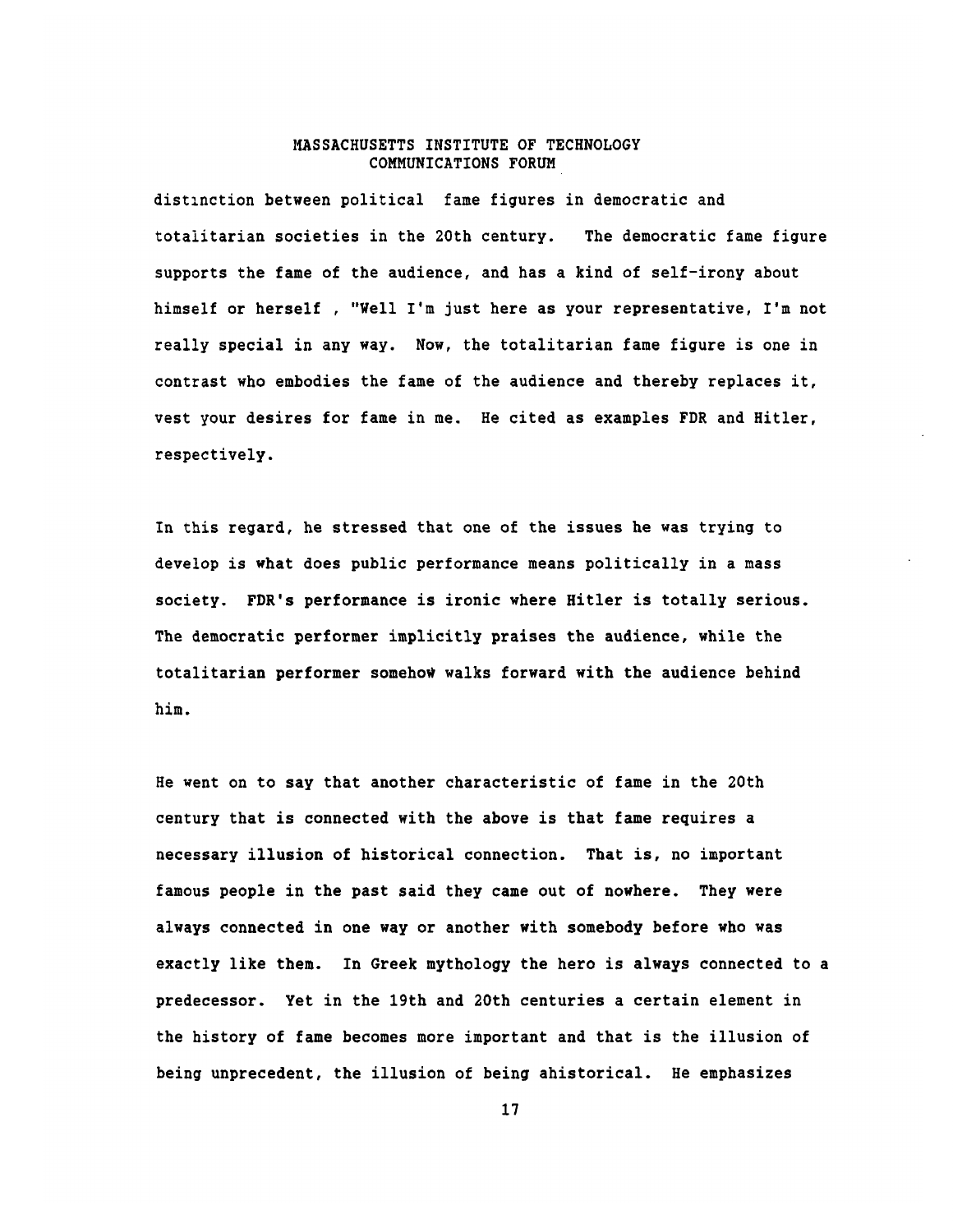distinction between political fame figures in democratic and totalitarian societies in the 20th century. The democratic fame figure supports the fame of the audience, and has a kind of self-irony about himself or herself **,** "Well I'm just here as your representative, I'm not really special in any way. Now, the totalitarian fame figure is one in contrast who embodies the fame of the audience and thereby replaces it, vest your desires for fame in me. He cited as examples FDR and Hitler, respectively.

In this regard, he stressed that one **of** the issues he was trying to develop is what does public performance means politically in a mass society. FDR's performance is ironic where Hitler is totally serious. The democratic performer implicitly praises the audience, while the totalitarian performer somehow walks forward with the audience behind him.

He went on to say that another characteristic of fame in the 20th century that is connected with the above is that fame requires a necessary illusion of historical connection. That is, no important famous people in the past said they came out of nowhere. They were always connected in one way or another with somebody before who was exactly like them. In Greek mythology the hero is always connected to a predecessor. Yet in the 19th and 20th centuries a certain element in the history of fame becomes more important and that is the illusion of being unprecedent, the illusion of being ahistorical. He emphasizes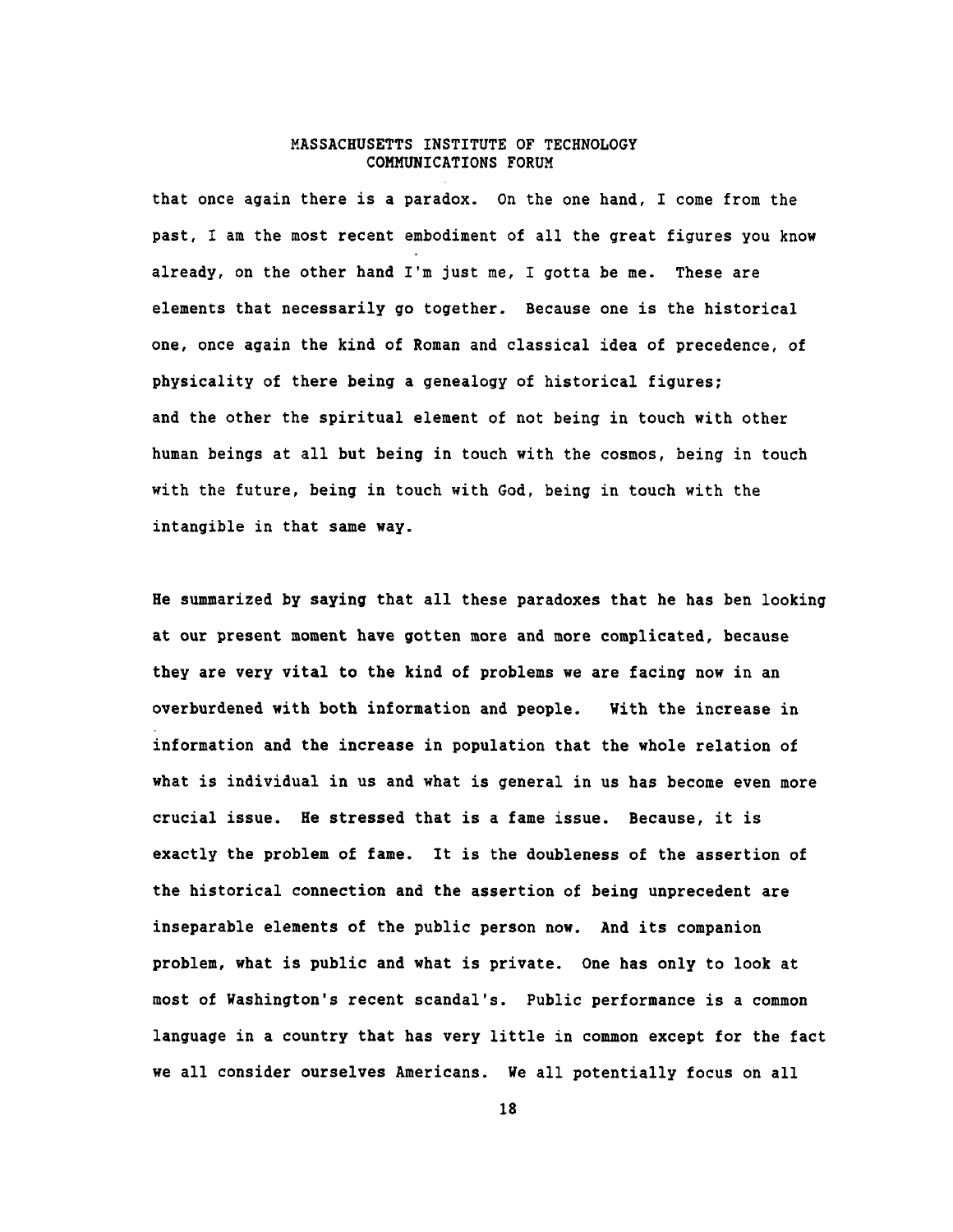that once again there is a paradox. On the one hand, I come from the past, I am the most recent embodiment of all the great figures you know already, on the other hand I'm just me, I gotta be me. These are elements that necessarily go together. Because one is the historical one, once again the kind of Roman and classical idea of precedence, of physicality of there being a genealogy of historical figures; and the other the spiritual element of not being in touch with other human beings at all but being in touch with the cosmos, being in touch with the future, being in touch with God, being in touch with the intangible in that same way.

He summarized **by** saying that all these paradoxes that he has ben looking at our present moment have gotten more and more complicated, because they are very vital to the kind of problems we are facing now in an overburdened with both information and people. With the increase in information and the increase in population that the whole relation of what is individual in us and what is general in us has become even more crucial issue. He stressed that is a fame issue. Because, it is exactly the problem of fame. It is the doubleness of the assertion of the historical connection and the assertion of being unprecedent are inseparable elements of the public person now. And its companion problem, what is public and what is private. One has only to look at most of Washington's recent scandal's. Public performance is a common language in a country that has very little in common except for the fact we all consider ourselves Americans. We all potentially focus on all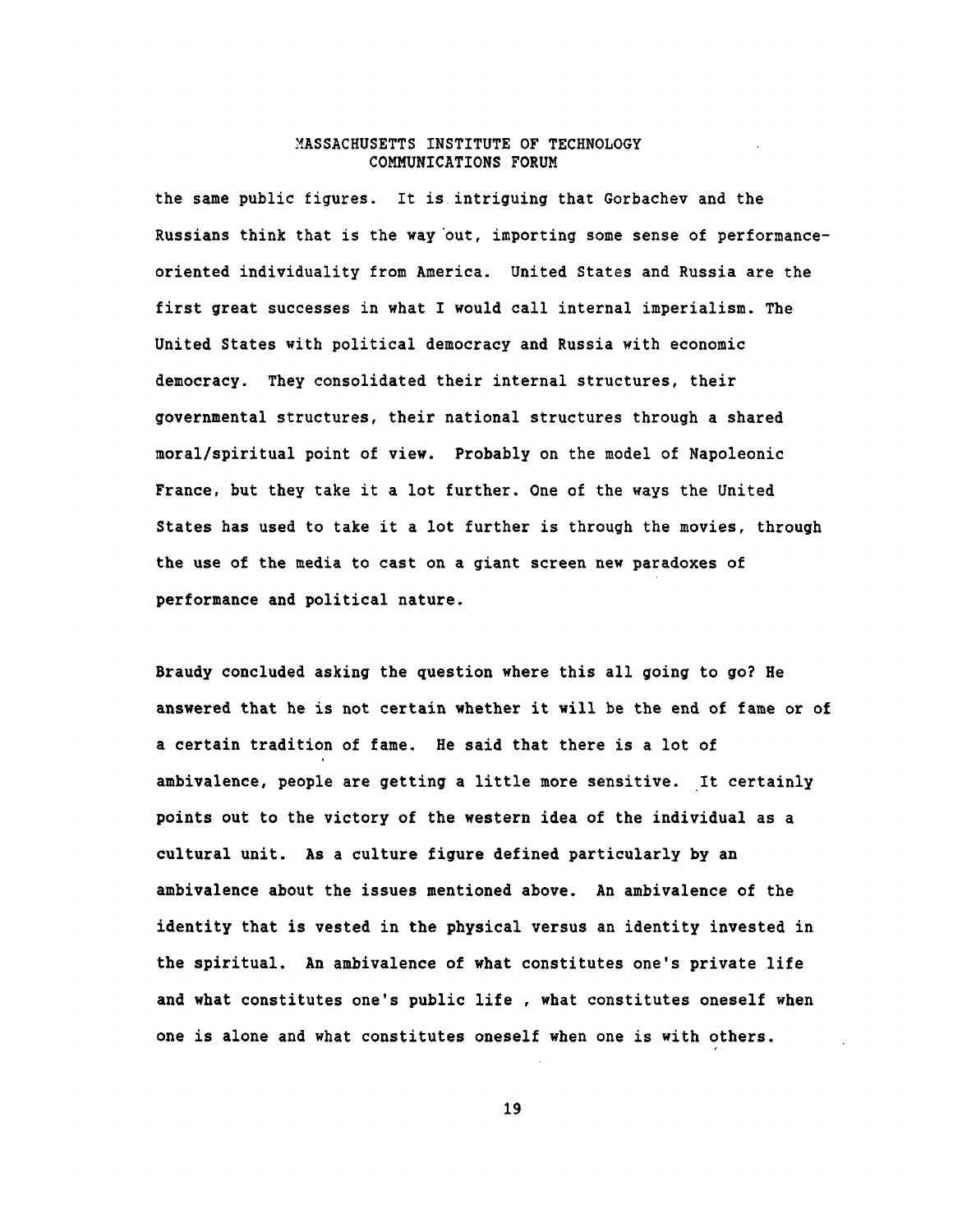the same public figures. It is.intriguing that Gorbachev and the Russians think that is the way out, importing some sense of performanceoriented individuality from America. United States and Russia are the first great successes in what I would call internal imperialism. The United States with political democracy and Russia with economic democracy. They consolidated their internal structures, their governmental structures, their national structures through a shared moral/spiritual point of view. Probably on the model of Napoleonic France, but they take it a lot further. One of the ways the United States has used to take it a lot further is through the movies, through the use of the media to cast on a giant screen new paradoxes of performance and political nature.

Braudy concluded asking the question where this all going to go? He answered that he is not certain whether it will be the end of fame or of a certain tradition of fame. He said that there is a lot of ambivalence, people are getting a little more sensitive. It certainly points out to the victory of the western idea of the individual as a cultural unit. As a culture figure defined particularly **by** an ambivalence about the issues mentioned above. An ambivalence of the identity that is vested in the physical versus an identity invested in the spiritual. An ambivalence of what constitutes one's private life and what constitutes one's public life **,** what constitutes oneself when one is alone and what constitutes oneself when one is with others.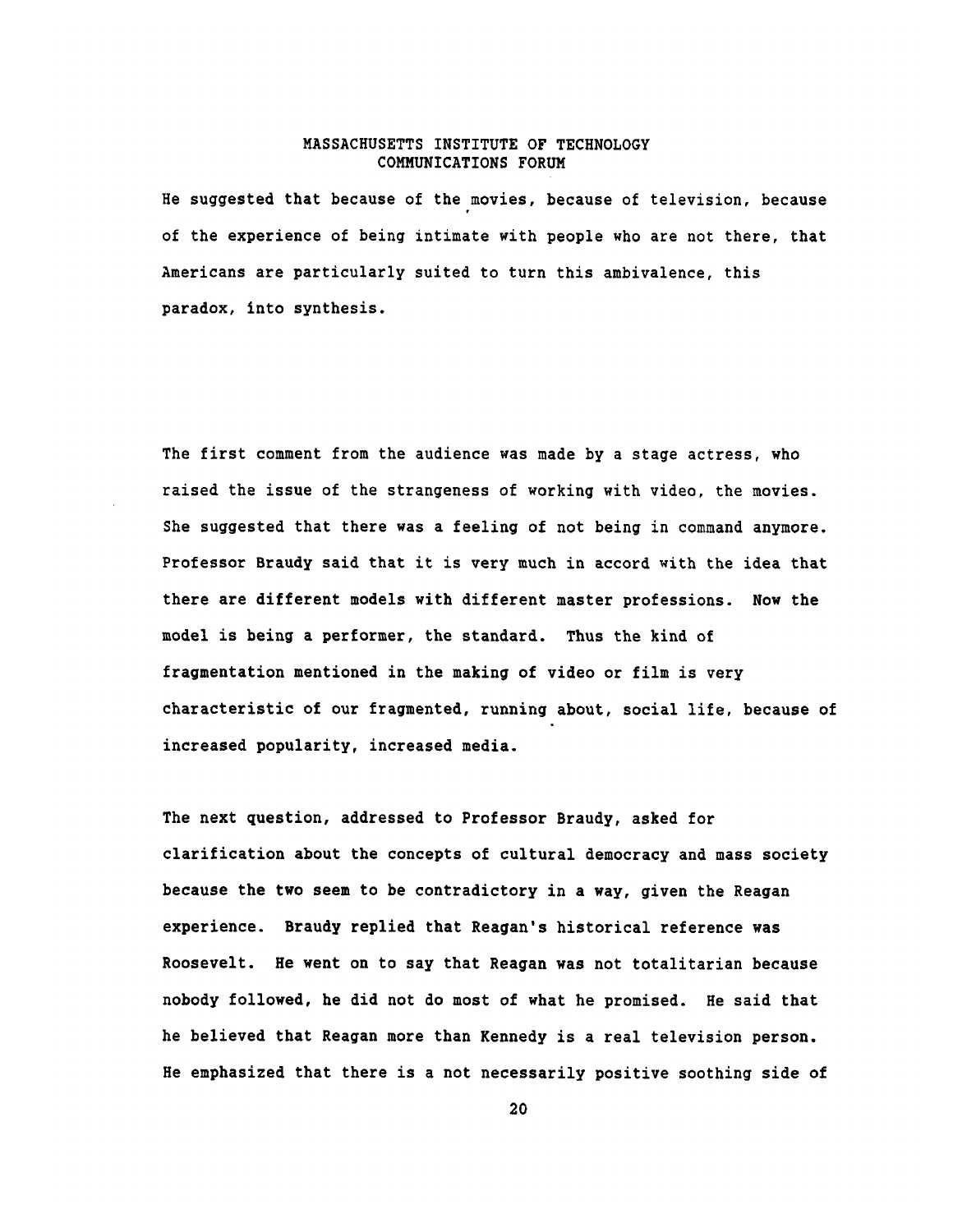He suggested that because of the movies, because of television, because of the experience of being intimate with people who are not there, that Americans are particularly suited to turn this ambivalence, this paradox, into synthesis.

The first comment from the audience was made **by** a stage actress, who raised the issue of the strangeness of working with video, the movies. She suggested that there was a feeling of not being in command anymore. Professor Braudy said that it is very much in accord with the idea that there are different models with different master professions. Now the model is being a performer, the standard. Thus the kind of fragmentation mentioned in the making of video or film is very characteristic of our fragmented, running about, social life, because of increased popularity, increased media.

The next question, addressed to Professor Braudy, asked for clarification about the concepts of cultural democracy and mass society because the two seem to be contradictory in a way, given the Reagan experience. Braudy replied that Reagan's historical reference was Roosevelt. He went on to say that Reagan was not totalitarian because nobody followed, he did not do most of what he promised. He said that he believed that Reagan more than Kennedy is a real television person. He emphasized that there is a not necessarily positive soothing side of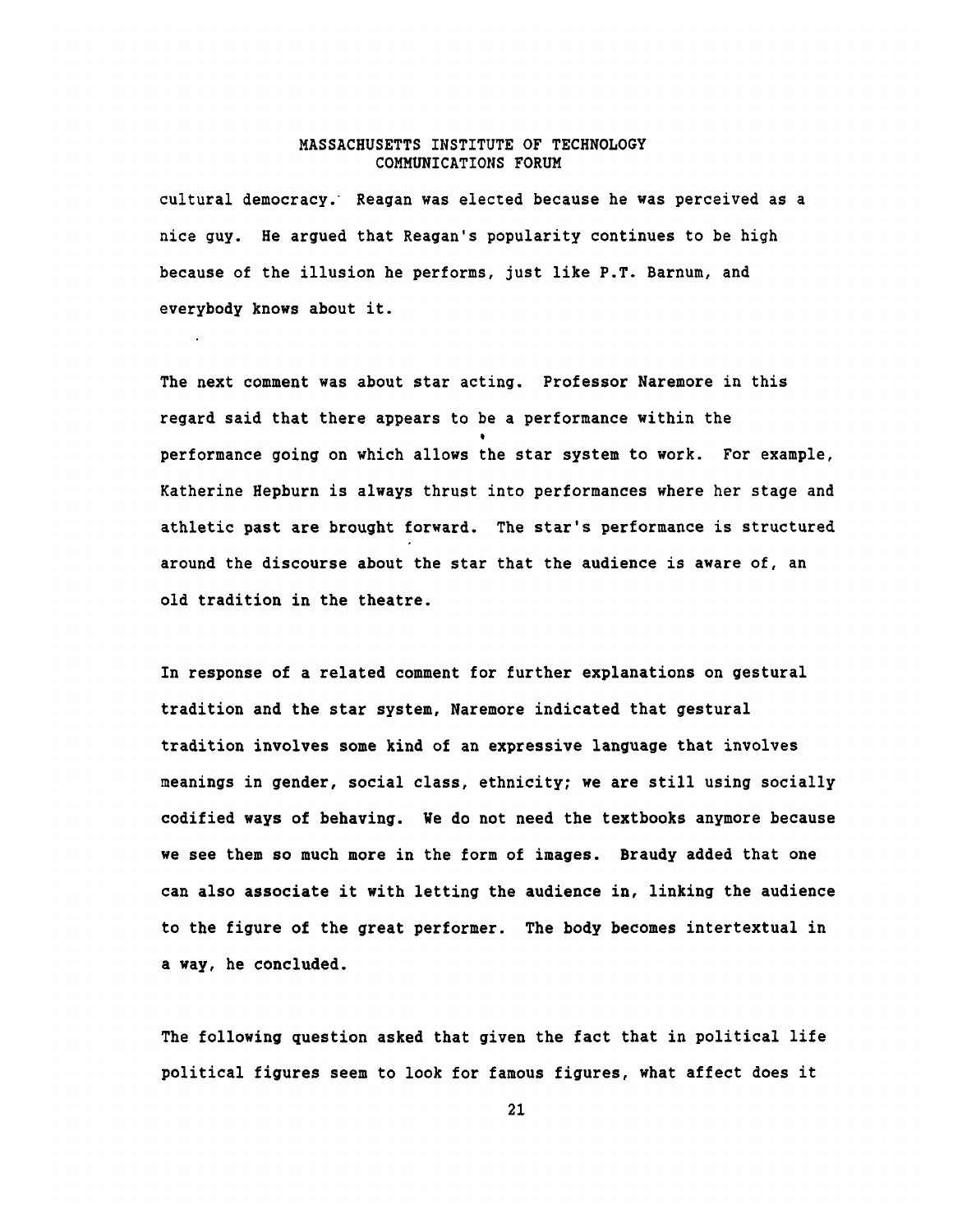cultural democracy. Reagan was elected because he was perceived as a nice guy. He argued that Reagan's popularity continues to be high because of the illusion he performs, just like P.T. Barnum, and everybody knows about it.

The next comment was about star acting. Professor Naremore in this regard said that there appears to be a performance within the performance going on which allows the star system to work. For example, Katherine Hepburn is always thrust into performances where her stage and athletic past are brought forward. The star's performance is structured around the discourse about the star that the audience is aware of, an old tradition in the theatre.

In response of a related comment for further explanations on gestural tradition and the star system, Naremore indicated that gestural tradition involves some kind of an expressive language that involves meanings in gender, social class, ethnicity; we are still using socially codified ways of behaving. We do not need the textbooks anymore because we see them so much more in the form of images. Braudy added that one can also associate it with letting the audience in, linking the audience to the figure of the great performer. The body becomes intertextual in a way, he concluded.

The following question asked that given the fact that in political life political figures seem to look for famous figures, what affect does it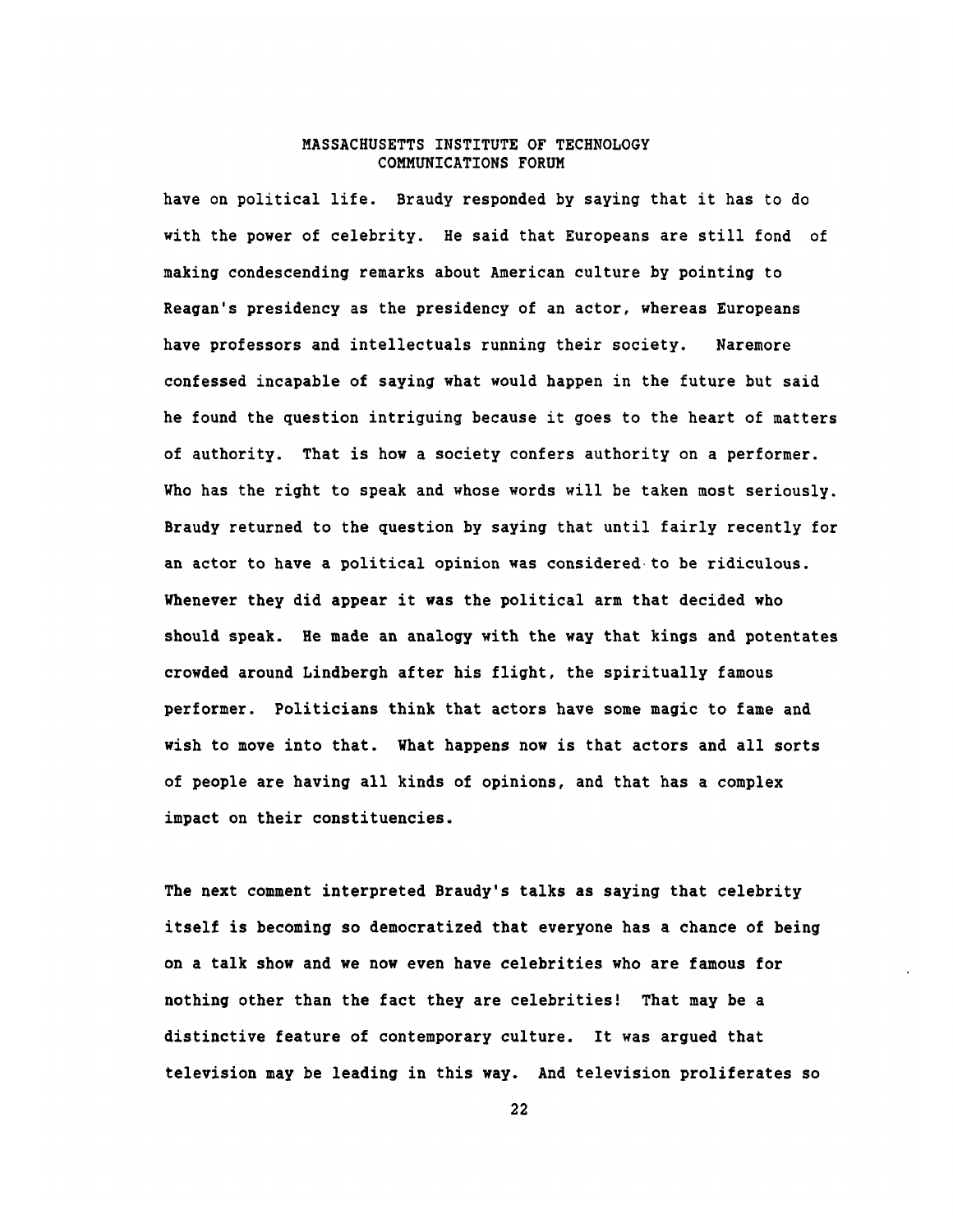have on political life. Braudy responded **by** saying that it has to do with the power of celebrity. He said that Europeans are still fond of making condescending remarks about American culture **by** pointing to Reagan's presidency as the presidency of an actor, whereas Europeans have professors and intellectuals running their society. Naremore confessed incapable of saying what would happen in the future but said he found the question intriguing because it goes to the heart of matters of authority. That is how a society confers authority on a performer. Who has the right to speak and whose words will be taken most seriously. Braudy returned to the question **by** saying that until fairly recently for an actor to have a political opinion was considered to be ridiculous. Whenever they did appear it was the political arm that decided who should speak. He made an analogy with the way that kings and potentates crowded around Lindbergh after his flight, the spiritually famous performer. Politicians think that actors have some magic to fame and wish to move into that. What happens now is that actors and all sorts of people are having all kinds of opinions, and that has a complex impact on their constituencies.

The next comment interpreted Braudy's talks as saying that celebrity itself is becoming so democratized that everyone has a chance of being on a talk show and we now even have celebrities who are famous for nothing other than the fact they are celebrities! That may be a distinctive feature of contemporary culture. It was argued that television may be leading in this way. And television proliferates so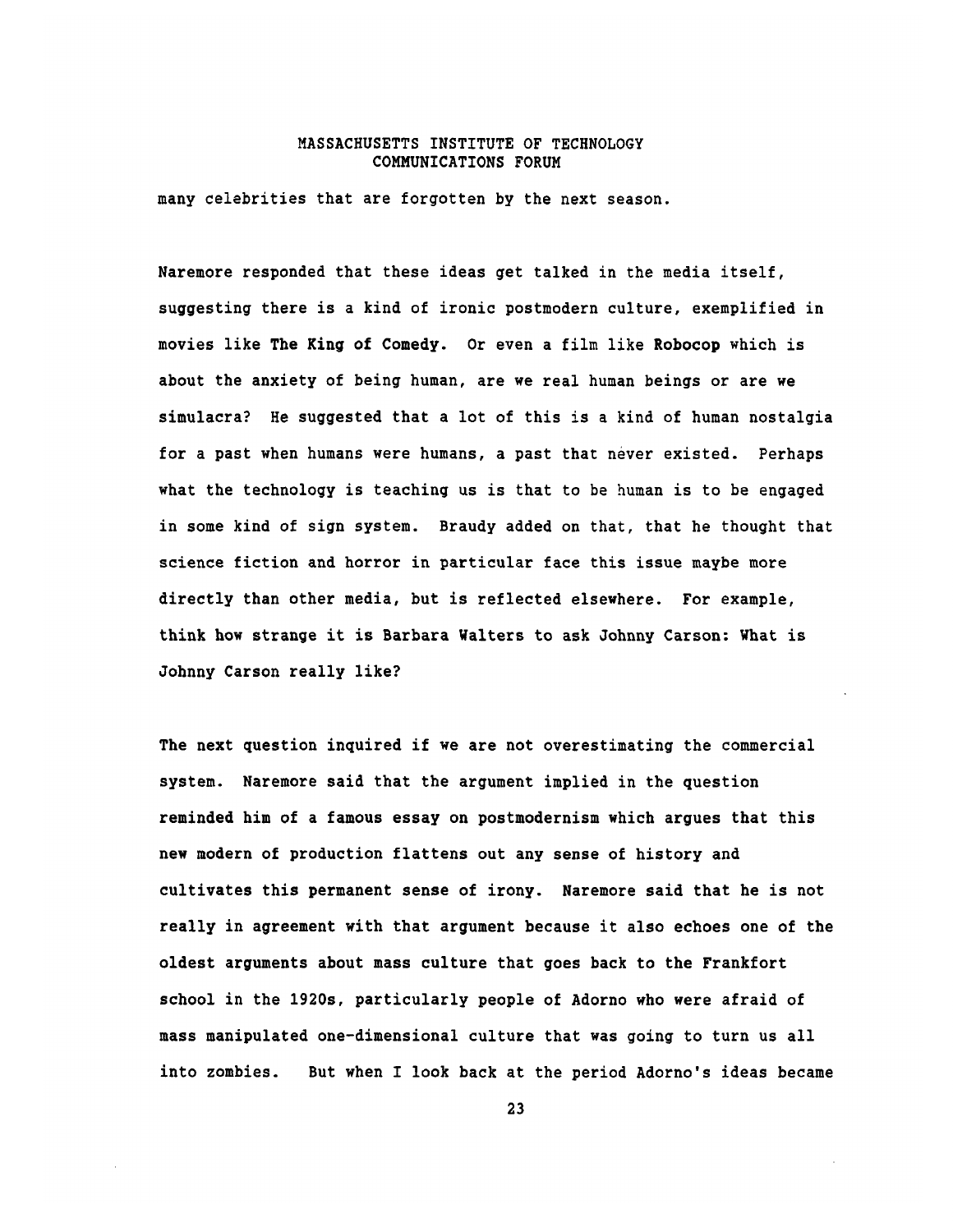many celebrities that are forgotten **by** the next season.

Naremore responded that these ideas get talked in the media itself, suggesting there is a kind of ironic postmodern culture, exemplified in movies like The King of Comedy. Or even a film like Robocop which is about the anxiety of being human, are we real human beings or are we simulacra? He suggested that a lot of this is a kind of human nostalgia for a past when humans were humans, a past that never existed. Perhaps what the technology is teaching us is that to be human is to be engaged in some kind of sign system. Braudy added on that, that he thought that science fiction and horror in particular face this issue maybe more directly than other media, but is reflected elsewhere. For example, think how strange it is Barbara Walters to ask Johnny Carson: What is Johnny Carson really like?

The next question inquired if we are not overestimating the commercial system. Naremore said that the argument implied in the question reminded him of a famous essay on postmodernism which argues that this new modern of production flattens out any sense of history and cultivates this permanent sense of irony. Naremore said that he is not really in agreement with that argument because it also echoes one of the oldest arguments about mass culture that goes back to the Frankfort school in the 1920s, particularly people of Adorno who were afraid of mass manipulated one-dimensional culture that was going to turn us all into zombies. But when I look back at the period Adorno's ideas became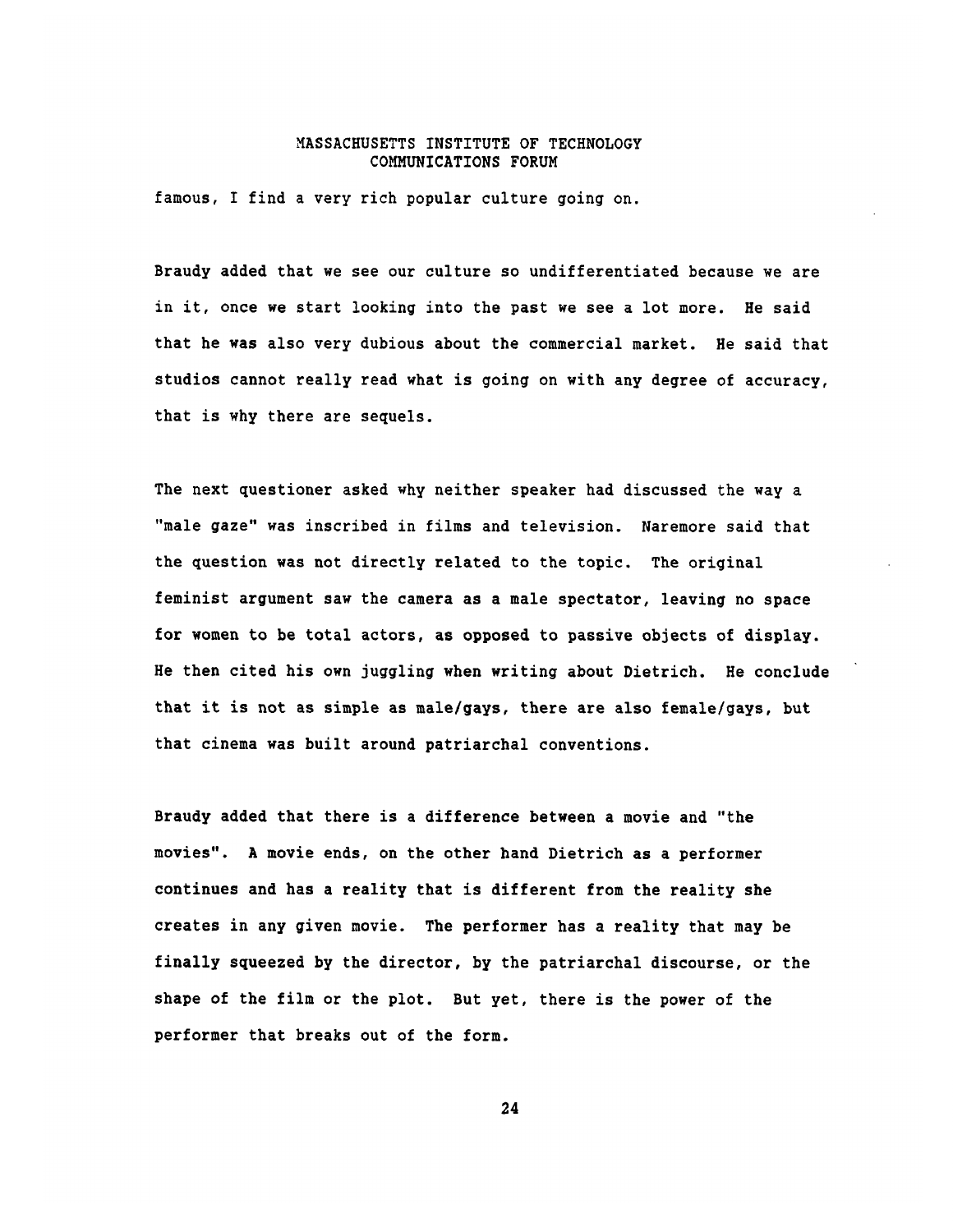famous, I find a very rich popular culture going on.

Braudy added that we see our culture so undifferentiated because we are in it, once we start looking into the past we see a lot more. He said that he was also very dubious about the commercial market. He said that studios cannot really read what is going on with any degree of accuracy, that is why there are sequels.

The next questioner asked why neither speaker had discussed the way a "male gaze" was inscribed in films and television. Naremore said that the question was not directly related to the topic. The original feminist argument saw the camera as a male spectator, leaving no space for women to be total actors, as opposed to passive objects of display. He then cited his own juggling when writing about Dietrich. He conclude that it is not as simple as male/gays, there are also female/gays, but that cinema was built around patriarchal conventions.

Braudy added that there is a difference between a movie and "the movies". **A** movie ends, on the other hand Dietrich as a performer continues and has a reality that is different from the reality she creates in any given movie. The performer has a reality that may be finally squeezed **by** the director, **by** the patriarchal discourse, or the shape of the film or the plot. But yet, there is the power of the performer that breaks out of the form.